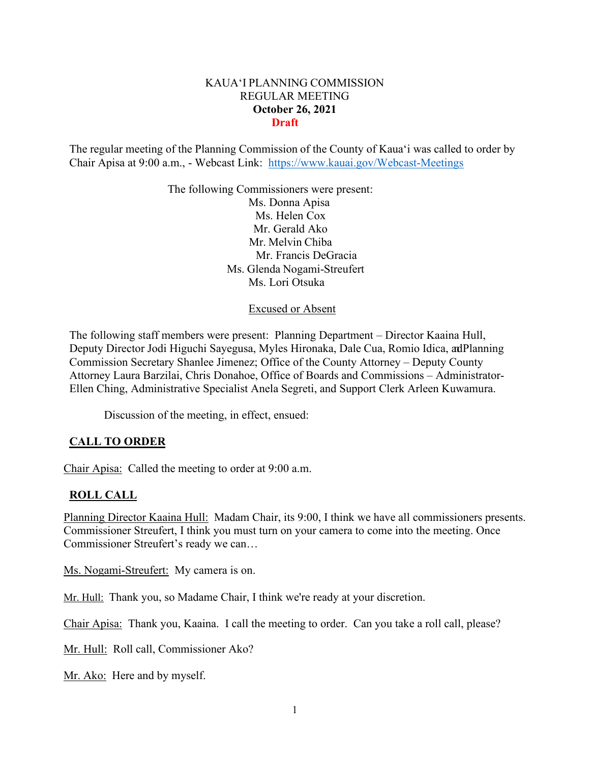# KAUA'I PLANNING COMMISSION REGULAR MEETING **October 26, 2021 Draft**

The regular meeting of the Planning Commission of the County of Kaua'i was called to order by Chair Apisa at 9:00 a.m., - Webcast Link: <https://www.kauai.gov/Webcast-Meetings>

> The following Commissioners were present: Ms. Donna Apisa Ms. Helen Cox Mr. Gerald Ako Mr. Melvin Chiba Mr. Francis DeGracia Ms. Glenda Nogami-Streufert Ms. Lori Otsuka

> > Excused or Absent

The following staff members were present: Planning Department – Director Kaaina Hull, Deputy Director Jodi Higuchi Sayegusa, Myles Hironaka, Dale Cua, Romio Idica, adPlanning Commission Secretary Shanlee Jimenez; Office of the County Attorney – Deputy County Attorney Laura Barzilai, Chris Donahoe, Office of Boards and Commissions – Administrator-Ellen Ching, Administrative Specialist Anela Segreti, and Support Clerk Arleen Kuwamura.

Discussion of the meeting, in effect, ensued:

## **CALL TO ORDER**

Chair Apisa: Called the meeting to order at 9:00 a.m.

#### **ROLL CALL**

Planning Director Kaaina Hull: Madam Chair, its 9:00, I think we have all commissioners presents. Commissioner Streufert, I think you must turn on your camera to come into the meeting. Once Commissioner Streufert's ready we can…

Ms. Nogami-Streufert: My camera is on.

Mr. Hull: Thank you, so Madame Chair, I think we're ready at your discretion.

Chair Apisa: Thank you, Kaaina. I call the meeting to order. Can you take a roll call, please?

Mr. Hull: Roll call, Commissioner Ako?

Mr. Ako: Here and by myself.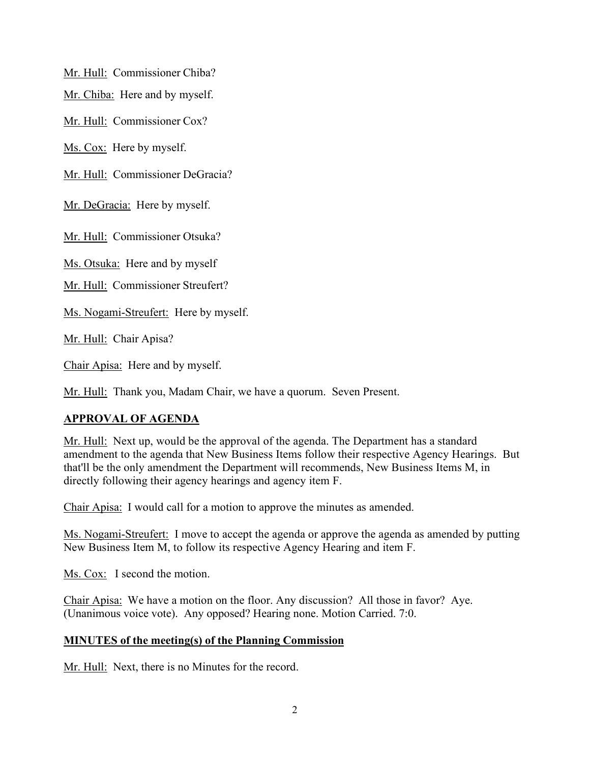Mr. Hull: Commissioner Chiba?

Mr. Chiba: Here and by myself.

Mr. Hull: Commissioner Cox?

Ms. Cox: Here by myself.

Mr. Hull: Commissioner DeGracia?

Mr. DeGracia: Here by myself.

Mr. Hull: Commissioner Otsuka?

Ms. Otsuka: Here and by myself

Mr. Hull: Commissioner Streufert?

Ms. Nogami-Streufert: Here by myself.

Mr. Hull: Chair Apisa?

Chair Apisa: Here and by myself.

Mr. Hull: Thank you, Madam Chair, we have a quorum. Seven Present.

# **APPROVAL OF AGENDA**

Mr. Hull: Next up, would be the approval of the agenda. The Department has a standard amendment to the agenda that New Business Items follow their respective Agency Hearings. But that'll be the only amendment the Department will recommends, New Business Items M, in directly following their agency hearings and agency item F.

Chair Apisa: I would call for a motion to approve the minutes as amended.

Ms. Nogami-Streufert: I move to accept the agenda or approve the agenda as amended by putting New Business Item M, to follow its respective Agency Hearing and item F.

Ms. Cox: I second the motion.

Chair Apisa: We have a motion on the floor. Any discussion? All those in favor? Aye. (Unanimous voice vote). Any opposed? Hearing none. Motion Carried. 7:0.

## **MINUTES of the meeting(s) of the Planning Commission**

Mr. Hull: Next, there is no Minutes for the record.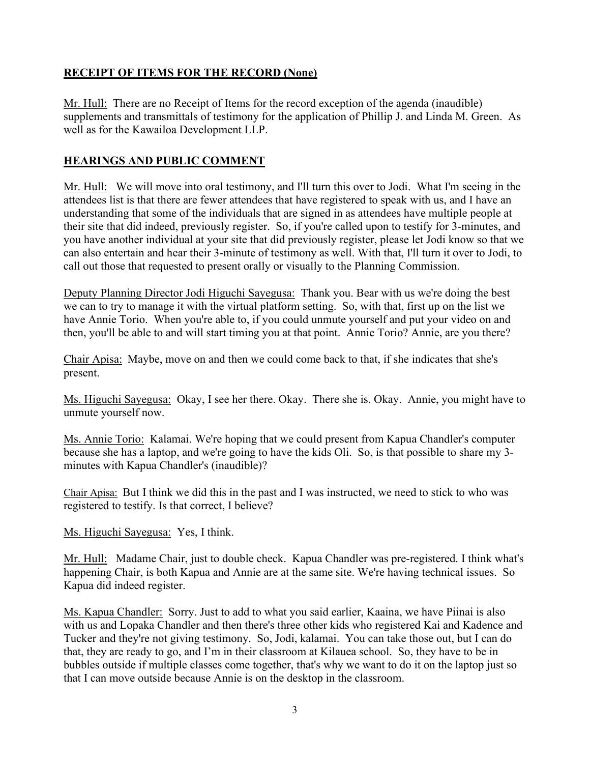# **RECEIPT OF ITEMS FOR THE RECORD (None)**

Mr. Hull: There are no Receipt of Items for the record exception of the agenda (inaudible) supplements and transmittals of testimony for the application of Phillip J. and Linda M. Green. As well as for the Kawailoa Development LLP.

# **HEARINGS AND PUBLIC COMMENT**

Mr. Hull: We will move into oral testimony, and I'll turn this over to Jodi. What I'm seeing in the attendees list is that there are fewer attendees that have registered to speak with us, and I have an understanding that some of the individuals that are signed in as attendees have multiple people at their site that did indeed, previously register. So, if you're called upon to testify for 3-minutes, and you have another individual at your site that did previously register, please let Jodi know so that we can also entertain and hear their 3-minute of testimony as well. With that, I'll turn it over to Jodi, to call out those that requested to present orally or visually to the Planning Commission.

Deputy Planning Director Jodi Higuchi Sayegusa: Thank you. Bear with us we're doing the best we can to try to manage it with the virtual platform setting. So, with that, first up on the list we have Annie Torio. When you're able to, if you could unmute yourself and put your video on and then, you'll be able to and will start timing you at that point. Annie Torio? Annie, are you there?

Chair Apisa: Maybe, move on and then we could come back to that, if she indicates that she's present.

Ms. Higuchi Sayegusa: Okay, I see her there. Okay. There she is. Okay. Annie, you might have to unmute yourself now.

Ms. Annie Torio: Kalamai. We're hoping that we could present from Kapua Chandler's computer because she has a laptop, and we're going to have the kids Oli. So, is that possible to share my 3 minutes with Kapua Chandler's (inaudible)?

Chair Apisa: But I think we did this in the past and I was instructed, we need to stick to who was registered to testify. Is that correct, I believe?

## Ms. Higuchi Sayegusa: Yes, I think.

Mr. Hull: Madame Chair, just to double check. Kapua Chandler was pre-registered. I think what's happening Chair, is both Kapua and Annie are at the same site. We're having technical issues. So Kapua did indeed register.

Ms. Kapua Chandler: Sorry. Just to add to what you said earlier, Kaaina, we have Piinai is also with us and Lopaka Chandler and then there's three other kids who registered Kai and Kadence and Tucker and they're not giving testimony. So, Jodi, kalamai. You can take those out, but I can do that, they are ready to go, and I'm in their classroom at Kilauea school. So, they have to be in bubbles outside if multiple classes come together, that's why we want to do it on the laptop just so that I can move outside because Annie is on the desktop in the classroom.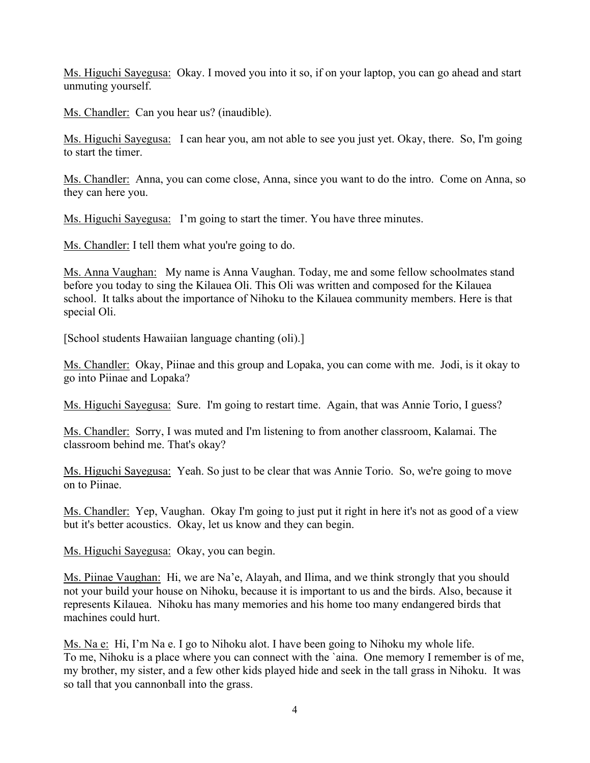Ms. Higuchi Sayegusa: Okay. I moved you into it so, if on your laptop, you can go ahead and start unmuting yourself.

Ms. Chandler: Can you hear us? (inaudible).

Ms. Higuchi Sayegusa: I can hear you, am not able to see you just yet. Okay, there. So, I'm going to start the timer.

Ms. Chandler: Anna, you can come close, Anna, since you want to do the intro. Come on Anna, so they can here you.

Ms. Higuchi Sayegusa: I'm going to start the timer. You have three minutes.

Ms. Chandler: I tell them what you're going to do.

Ms. Anna Vaughan: My name is Anna Vaughan. Today, me and some fellow schoolmates stand before you today to sing the Kilauea Oli. This Oli was written and composed for the Kilauea school. It talks about the importance of Nihoku to the Kilauea community members. Here is that special Oli.

[School students Hawaiian language chanting (oli).]

Ms. Chandler: Okay, Piinae and this group and Lopaka, you can come with me. Jodi, is it okay to go into Piinae and Lopaka?

Ms. Higuchi Sayegusa: Sure. I'm going to restart time. Again, that was Annie Torio, I guess?

Ms. Chandler: Sorry, I was muted and I'm listening to from another classroom, Kalamai. The classroom behind me. That's okay?

Ms. Higuchi Sayegusa: Yeah. So just to be clear that was Annie Torio. So, we're going to move on to Piinae.

Ms. Chandler: Yep, Vaughan. Okay I'm going to just put it right in here it's not as good of a view but it's better acoustics. Okay, let us know and they can begin.

Ms. Higuchi Sayegusa: Okay, you can begin.

Ms. Piinae Vaughan: Hi, we are Na'e, Alayah, and Ilima, and we think strongly that you should not your build your house on Nihoku, because it is important to us and the birds. Also, because it represents Kilauea. Nihoku has many memories and his home too many endangered birds that machines could hurt.

Ms. Na e: Hi, I'm Na e. I go to Nihoku alot. I have been going to Nihoku my whole life. To me, Nihoku is a place where you can connect with the `aina. One memory I remember is of me, my brother, my sister, and a few other kids played hide and seek in the tall grass in Nihoku. It was so tall that you cannonball into the grass.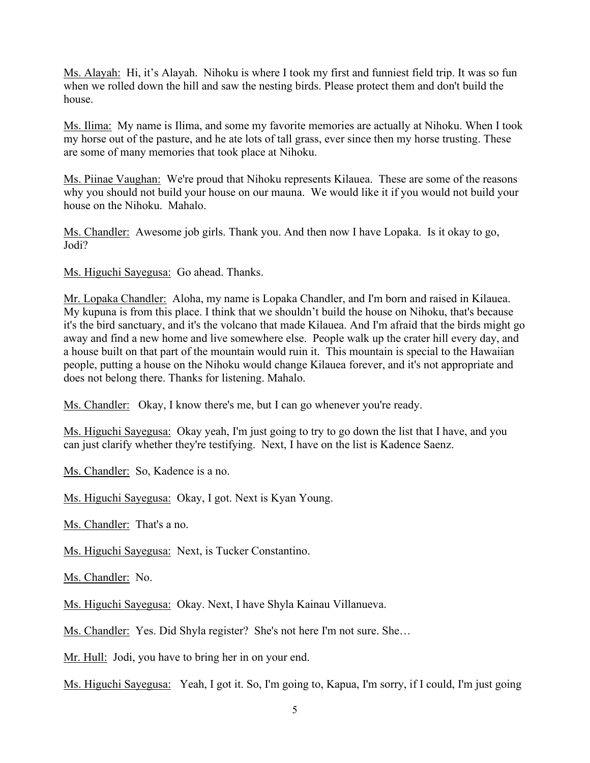Ms. Alayah: Hi, it's Alayah. Nihoku is where I took my first and funniest field trip. It was so fun when we rolled down the hill and saw the nesting birds. Please protect them and don't build the house.

Ms. Ilima: My name is Ilima, and some my favorite memories are actually at Nihoku. When I took my horse out of the pasture, and he ate lots of tall grass, ever since then my horse trusting. These are some of many memories that took place at Nihoku.

Ms. Piinae Vaughan: We're proud that Nihoku represents Kilauea. These are some of the reasons why you should not build your house on our mauna. We would like it if you would not build your house on the Nihoku. Mahalo.

Ms. Chandler: Awesome job girls. Thank you. And then now I have Lopaka. Is it okay to go, Jodi?

Ms. Higuchi Sayegusa: Go ahead. Thanks.

Mr. Lopaka Chandler: Aloha, my name is Lopaka Chandler, and I'm born and raised in Kilauea. My kupuna is from this place. I think that we shouldn't build the house on Nihoku, that's because it's the bird sanctuary, and it's the volcano that made Kilauea. And I'm afraid that the birds might go away and find a new home and live somewhere else. People walk up the crater hill every day, and a house built on that part of the mountain would ruin it. This mountain is special to the Hawaiian people, putting a house on the Nihoku would change Kilauea forever, and it's not appropriate and does not belong there. Thanks for listening. Mahalo.

Ms. Chandler: Okay, I know there's me, but I can go whenever you're ready.

Ms. Higuchi Sayegusa: Okay yeah, I'm just going to try to go down the list that I have, and you can just clarify whether they're testifying. Next, I have on the list is Kadence Saenz.

Ms. Chandler: So, Kadence is a no.

Ms. Higuchi Sayegusa: Okay, I got. Next is Kyan Young.

Ms. Chandler: That's a no.

Ms. Higuchi Sayegusa: Next, is Tucker Constantino.

Ms. Chandler: No.

Ms. Higuchi Sayegusa: Okay. Next, I have Shyla Kainau Villanueva.

Ms. Chandler: Yes. Did Shyla register? She's not here I'm not sure. She…

Mr. Hull: Jodi, you have to bring her in on your end.

Ms. Higuchi Sayegusa: Yeah, I got it. So, I'm going to, Kapua, I'm sorry, if I could, I'm just going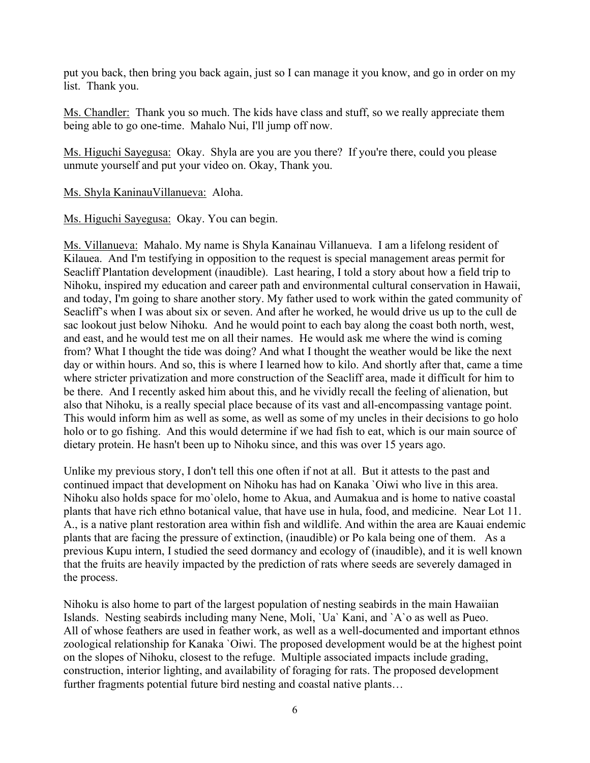put you back, then bring you back again, just so I can manage it you know, and go in order on my list. Thank you.

Ms. Chandler: Thank you so much. The kids have class and stuff, so we really appreciate them being able to go one-time. Mahalo Nui, I'll jump off now.

Ms. Higuchi Sayegusa: Okay. Shyla are you are you there? If you're there, could you please unmute yourself and put your video on. Okay, Thank you.

Ms. Shyla KaninauVillanueva: Aloha.

Ms. Higuchi Sayegusa: Okay. You can begin.

Ms. Villanueva: Mahalo. My name is Shyla Kanainau Villanueva. I am a lifelong resident of Kilauea. And I'm testifying in opposition to the request is special management areas permit for Seacliff Plantation development (inaudible). Last hearing, I told a story about how a field trip to Nihoku, inspired my education and career path and environmental cultural conservation in Hawaii, and today, I'm going to share another story. My father used to work within the gated community of Seacliff's when I was about six or seven. And after he worked, he would drive us up to the cull de sac lookout just below Nihoku. And he would point to each bay along the coast both north, west, and east, and he would test me on all their names. He would ask me where the wind is coming from? What I thought the tide was doing? And what I thought the weather would be like the next day or within hours. And so, this is where I learned how to kilo. And shortly after that, came a time where stricter privatization and more construction of the Seacliff area, made it difficult for him to be there. And I recently asked him about this, and he vividly recall the feeling of alienation, but also that Nihoku, is a really special place because of its vast and all-encompassing vantage point. This would inform him as well as some, as well as some of my uncles in their decisions to go holo holo or to go fishing. And this would determine if we had fish to eat, which is our main source of dietary protein. He hasn't been up to Nihoku since, and this was over 15 years ago.

Unlike my previous story, I don't tell this one often if not at all. But it attests to the past and continued impact that development on Nihoku has had on Kanaka `Oiwi who live in this area. Nihoku also holds space for mo`olelo, home to Akua, and Aumakua and is home to native coastal plants that have rich ethno botanical value, that have use in hula, food, and medicine. Near Lot 11. A., is a native plant restoration area within fish and wildlife. And within the area are Kauai endemic plants that are facing the pressure of extinction, (inaudible) or Po kala being one of them. As a previous Kupu intern, I studied the seed dormancy and ecology of (inaudible), and it is well known that the fruits are heavily impacted by the prediction of rats where seeds are severely damaged in the process.

Nihoku is also home to part of the largest population of nesting seabirds in the main Hawaiian Islands. Nesting seabirds including many Nene, Moli, `Ua` Kani, and `A`o as well as Pueo. All of whose feathers are used in feather work, as well as a well-documented and important ethnos zoological relationship for Kanaka `Oiwi. The proposed development would be at the highest point on the slopes of Nihoku, closest to the refuge. Multiple associated impacts include grading, construction, interior lighting, and availability of foraging for rats. The proposed development further fragments potential future bird nesting and coastal native plants…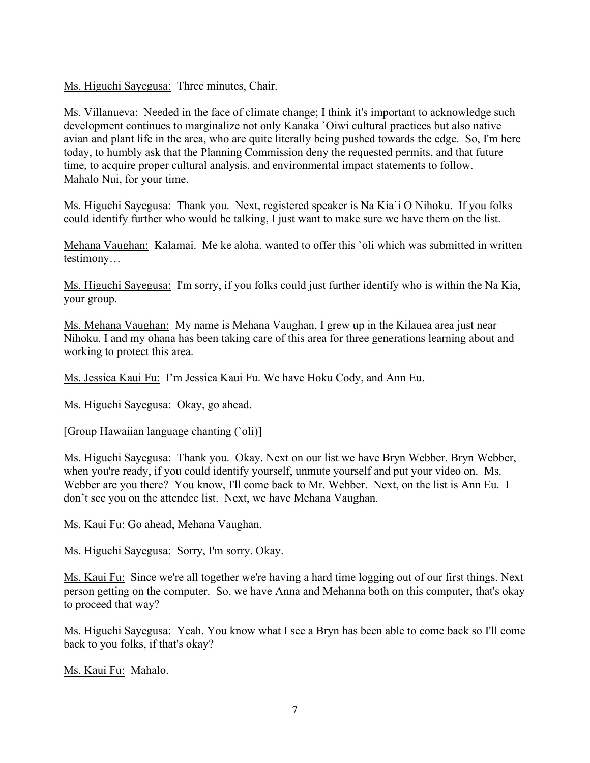Ms. Higuchi Sayegusa: Three minutes, Chair.

Ms. Villanueva: Needed in the face of climate change; I think it's important to acknowledge such development continues to marginalize not only Kanaka `Oiwi cultural practices but also native avian and plant life in the area, who are quite literally being pushed towards the edge. So, I'm here today, to humbly ask that the Planning Commission deny the requested permits, and that future time, to acquire proper cultural analysis, and environmental impact statements to follow. Mahalo Nui, for your time.

Ms. Higuchi Sayegusa: Thank you. Next, registered speaker is Na Kia`i O Nihoku. If you folks could identify further who would be talking, I just want to make sure we have them on the list.

Mehana Vaughan: Kalamai. Me ke aloha. wanted to offer this `oli which was submitted in written testimony…

Ms. Higuchi Sayegusa: I'm sorry, if you folks could just further identify who is within the Na Kia, your group.

Ms. Mehana Vaughan: My name is Mehana Vaughan, I grew up in the Kilauea area just near Nihoku. I and my ohana has been taking care of this area for three generations learning about and working to protect this area.

Ms. Jessica Kaui Fu: I'm Jessica Kaui Fu. We have Hoku Cody, and Ann Eu.

Ms. Higuchi Sayegusa: Okay, go ahead.

[Group Hawaiian language chanting (`oli)]

Ms. Higuchi Sayegusa: Thank you. Okay. Next on our list we have Bryn Webber. Bryn Webber, when you're ready, if you could identify yourself, unmute yourself and put your video on. Ms. Webber are you there? You know, I'll come back to Mr. Webber. Next, on the list is Ann Eu. I don't see you on the attendee list. Next, we have Mehana Vaughan.

Ms. Kaui Fu: Go ahead, Mehana Vaughan.

Ms. Higuchi Sayegusa: Sorry, I'm sorry. Okay.

Ms. Kaui Fu: Since we're all together we're having a hard time logging out of our first things. Next person getting on the computer. So, we have Anna and Mehanna both on this computer, that's okay to proceed that way?

Ms. Higuchi Sayegusa: Yeah. You know what I see a Bryn has been able to come back so I'll come back to you folks, if that's okay?

Ms. Kaui Fu: Mahalo.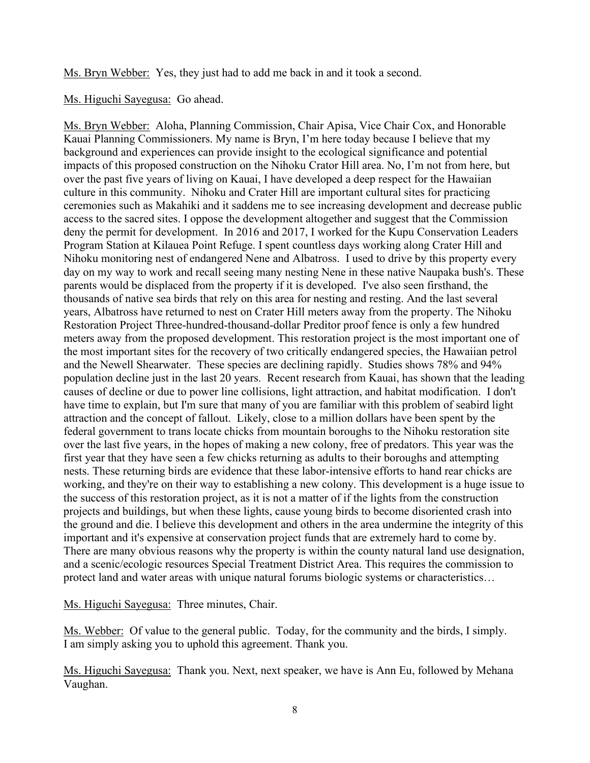Ms. Bryn Webber: Yes, they just had to add me back in and it took a second.

#### Ms. Higuchi Sayegusa: Go ahead.

Ms. Bryn Webber: Aloha, Planning Commission, Chair Apisa, Vice Chair Cox, and Honorable Kauai Planning Commissioners. My name is Bryn, I'm here today because I believe that my background and experiences can provide insight to the ecological significance and potential impacts of this proposed construction on the Nihoku Crator Hill area. No, I'm not from here, but over the past five years of living on Kauai, I have developed a deep respect for the Hawaiian culture in this community. Nihoku and Crater Hill are important cultural sites for practicing ceremonies such as Makahiki and it saddens me to see increasing development and decrease public access to the sacred sites. I oppose the development altogether and suggest that the Commission deny the permit for development. In 2016 and 2017, I worked for the Kupu Conservation Leaders Program Station at Kilauea Point Refuge. I spent countless days working along Crater Hill and Nihoku monitoring nest of endangered Nene and Albatross. I used to drive by this property every day on my way to work and recall seeing many nesting Nene in these native Naupaka bush's. These parents would be displaced from the property if it is developed. I've also seen firsthand, the thousands of native sea birds that rely on this area for nesting and resting. And the last several years, Albatross have returned to nest on Crater Hill meters away from the property. The Nihoku Restoration Project Three-hundred-thousand-dollar Preditor proof fence is only a few hundred meters away from the proposed development. This restoration project is the most important one of the most important sites for the recovery of two critically endangered species, the Hawaiian petrol and the Newell Shearwater. These species are declining rapidly. Studies shows 78% and 94% population decline just in the last 20 years. Recent research from Kauai, has shown that the leading causes of decline or due to power line collisions, light attraction, and habitat modification. I don't have time to explain, but I'm sure that many of you are familiar with this problem of seabird light attraction and the concept of fallout. Likely, close to a million dollars have been spent by the federal government to trans locate chicks from mountain boroughs to the Nihoku restoration site over the last five years, in the hopes of making a new colony, free of predators. This year was the first year that they have seen a few chicks returning as adults to their boroughs and attempting nests. These returning birds are evidence that these labor-intensive efforts to hand rear chicks are working, and they're on their way to establishing a new colony. This development is a huge issue to the success of this restoration project, as it is not a matter of if the lights from the construction projects and buildings, but when these lights, cause young birds to become disoriented crash into the ground and die. I believe this development and others in the area undermine the integrity of this important and it's expensive at conservation project funds that are extremely hard to come by. There are many obvious reasons why the property is within the county natural land use designation, and a scenic/ecologic resources Special Treatment District Area. This requires the commission to protect land and water areas with unique natural forums biologic systems or characteristics…

Ms. Higuchi Sayegusa: Three minutes, Chair.

Ms. Webber: Of value to the general public. Today, for the community and the birds, I simply. I am simply asking you to uphold this agreement. Thank you.

Ms. Higuchi Sayegusa: Thank you. Next, next speaker, we have is Ann Eu, followed by Mehana Vaughan.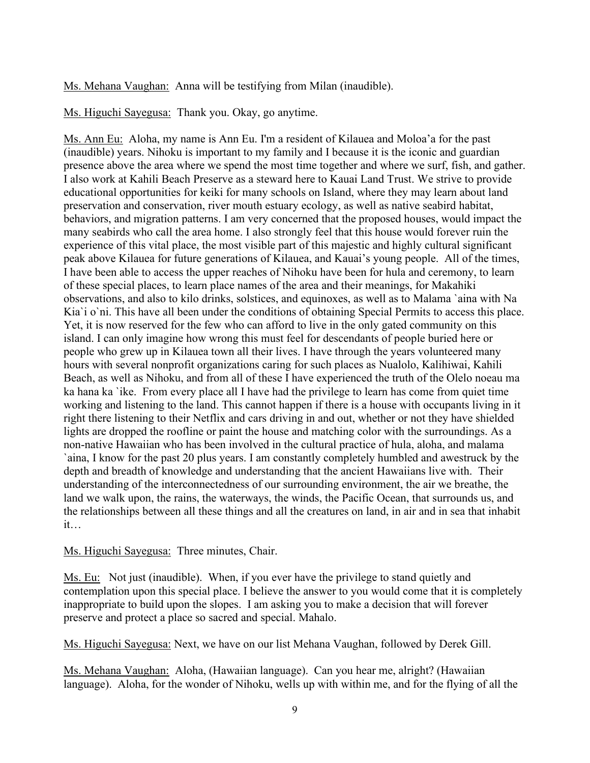Ms. Mehana Vaughan: Anna will be testifying from Milan (inaudible).

Ms. Higuchi Sayegusa: Thank you. Okay, go anytime.

Ms. Ann Eu: Aloha, my name is Ann Eu. I'm a resident of Kilauea and Moloa'a for the past (inaudible) years. Nihoku is important to my family and I because it is the iconic and guardian presence above the area where we spend the most time together and where we surf, fish, and gather. I also work at Kahili Beach Preserve as a steward here to Kauai Land Trust. We strive to provide educational opportunities for keiki for many schools on Island, where they may learn about land preservation and conservation, river mouth estuary ecology, as well as native seabird habitat, behaviors, and migration patterns. I am very concerned that the proposed houses, would impact the many seabirds who call the area home. I also strongly feel that this house would forever ruin the experience of this vital place, the most visible part of this majestic and highly cultural significant peak above Kilauea for future generations of Kilauea, and Kauai's young people. All of the times, I have been able to access the upper reaches of Nihoku have been for hula and ceremony, to learn of these special places, to learn place names of the area and their meanings, for Makahiki observations, and also to kilo drinks, solstices, and equinoxes, as well as to Malama `aina with Na Kia`i o`ni. This have all been under the conditions of obtaining Special Permits to access this place. Yet, it is now reserved for the few who can afford to live in the only gated community on this island. I can only imagine how wrong this must feel for descendants of people buried here or people who grew up in Kilauea town all their lives. I have through the years volunteered many hours with several nonprofit organizations caring for such places as Nualolo, Kalihiwai, Kahili Beach, as well as Nihoku, and from all of these I have experienced the truth of the Olelo noeau ma ka hana ka `ike. From every place all I have had the privilege to learn has come from quiet time working and listening to the land. This cannot happen if there is a house with occupants living in it right there listening to their Netflix and cars driving in and out, whether or not they have shielded lights are dropped the roofline or paint the house and matching color with the surroundings. As a non-native Hawaiian who has been involved in the cultural practice of hula, aloha, and malama `aina, I know for the past 20 plus years. I am constantly completely humbled and awestruck by the depth and breadth of knowledge and understanding that the ancient Hawaiians live with. Their understanding of the interconnectedness of our surrounding environment, the air we breathe, the land we walk upon, the rains, the waterways, the winds, the Pacific Ocean, that surrounds us, and the relationships between all these things and all the creatures on land, in air and in sea that inhabit it…

Ms. Higuchi Sayegusa: Three minutes, Chair.

Ms. Eu: Not just (inaudible). When, if you ever have the privilege to stand quietly and contemplation upon this special place. I believe the answer to you would come that it is completely inappropriate to build upon the slopes. I am asking you to make a decision that will forever preserve and protect a place so sacred and special. Mahalo.

Ms. Higuchi Sayegusa: Next, we have on our list Mehana Vaughan, followed by Derek Gill.

Ms. Mehana Vaughan: Aloha, (Hawaiian language). Can you hear me, alright? (Hawaiian language). Aloha, for the wonder of Nihoku, wells up with within me, and for the flying of all the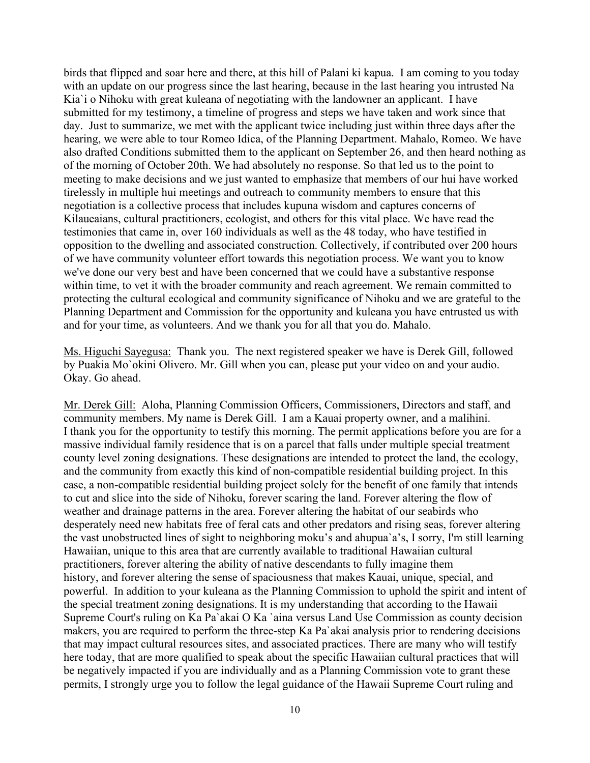birds that flipped and soar here and there, at this hill of Palani ki kapua. I am coming to you today with an update on our progress since the last hearing, because in the last hearing you intrusted Na Kia`i o Nihoku with great kuleana of negotiating with the landowner an applicant. I have submitted for my testimony, a timeline of progress and steps we have taken and work since that day. Just to summarize, we met with the applicant twice including just within three days after the hearing, we were able to tour Romeo Idica, of the Planning Department. Mahalo, Romeo. We have also drafted Conditions submitted them to the applicant on September 26, and then heard nothing as of the morning of October 20th. We had absolutely no response. So that led us to the point to meeting to make decisions and we just wanted to emphasize that members of our hui have worked tirelessly in multiple hui meetings and outreach to community members to ensure that this negotiation is a collective process that includes kupuna wisdom and captures concerns of Kilaueaians, cultural practitioners, ecologist, and others for this vital place. We have read the testimonies that came in, over 160 individuals as well as the 48 today, who have testified in opposition to the dwelling and associated construction. Collectively, if contributed over 200 hours of we have community volunteer effort towards this negotiation process. We want you to know we've done our very best and have been concerned that we could have a substantive response within time, to vet it with the broader community and reach agreement. We remain committed to protecting the cultural ecological and community significance of Nihoku and we are grateful to the Planning Department and Commission for the opportunity and kuleana you have entrusted us with and for your time, as volunteers. And we thank you for all that you do. Mahalo.

Ms. Higuchi Sayegusa: Thank you. The next registered speaker we have is Derek Gill, followed by Puakia Mo`okini Olivero. Mr. Gill when you can, please put your video on and your audio. Okay. Go ahead.

Mr. Derek Gill: Aloha, Planning Commission Officers, Commissioners, Directors and staff, and community members. My name is Derek Gill. I am a Kauai property owner, and a malihini. I thank you for the opportunity to testify this morning. The permit applications before you are for a massive individual family residence that is on a parcel that falls under multiple special treatment county level zoning designations. These designations are intended to protect the land, the ecology, and the community from exactly this kind of non-compatible residential building project. In this case, a non-compatible residential building project solely for the benefit of one family that intends to cut and slice into the side of Nihoku, forever scaring the land. Forever altering the flow of weather and drainage patterns in the area. Forever altering the habitat of our seabirds who desperately need new habitats free of feral cats and other predators and rising seas, forever altering the vast unobstructed lines of sight to neighboring moku's and ahupua`a's, I sorry, I'm still learning Hawaiian, unique to this area that are currently available to traditional Hawaiian cultural practitioners, forever altering the ability of native descendants to fully imagine them history, and forever altering the sense of spaciousness that makes Kauai, unique, special, and powerful. In addition to your kuleana as the Planning Commission to uphold the spirit and intent of the special treatment zoning designations. It is my understanding that according to the Hawaii Supreme Court's ruling on Ka Pa`akai O Ka `aina versus Land Use Commission as county decision makers, you are required to perform the three-step Ka Pa`akai analysis prior to rendering decisions that may impact cultural resources sites, and associated practices. There are many who will testify here today, that are more qualified to speak about the specific Hawaiian cultural practices that will be negatively impacted if you are individually and as a Planning Commission vote to grant these permits, I strongly urge you to follow the legal guidance of the Hawaii Supreme Court ruling and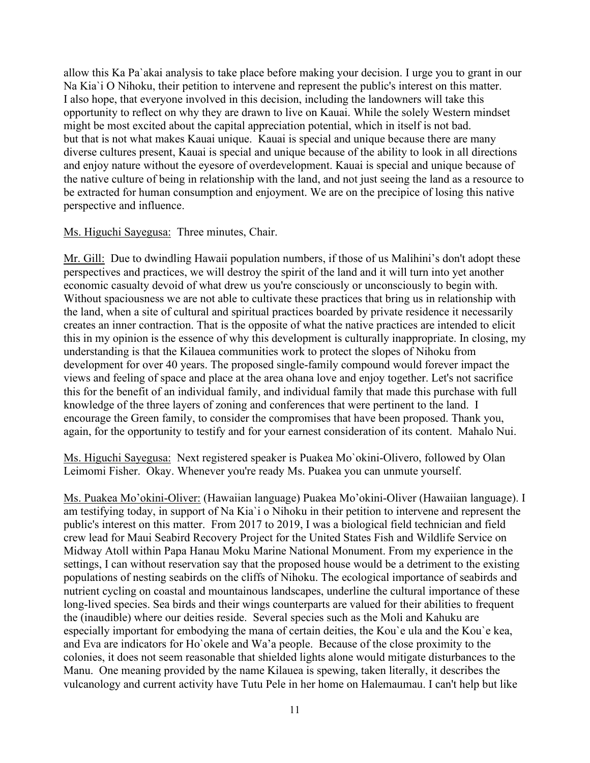allow this Ka Pa`akai analysis to take place before making your decision. I urge you to grant in our Na Kia`i O Nihoku, their petition to intervene and represent the public's interest on this matter. I also hope, that everyone involved in this decision, including the landowners will take this opportunity to reflect on why they are drawn to live on Kauai. While the solely Western mindset might be most excited about the capital appreciation potential, which in itself is not bad. but that is not what makes Kauai unique. Kauai is special and unique because there are many diverse cultures present, Kauai is special and unique because of the ability to look in all directions and enjoy nature without the eyesore of overdevelopment. Kauai is special and unique because of the native culture of being in relationship with the land, and not just seeing the land as a resource to be extracted for human consumption and enjoyment. We are on the precipice of losing this native perspective and influence.

#### Ms. Higuchi Sayegusa: Three minutes, Chair.

Mr. Gill: Due to dwindling Hawaii population numbers, if those of us Malihini's don't adopt these perspectives and practices, we will destroy the spirit of the land and it will turn into yet another economic casualty devoid of what drew us you're consciously or unconsciously to begin with. Without spaciousness we are not able to cultivate these practices that bring us in relationship with the land, when a site of cultural and spiritual practices boarded by private residence it necessarily creates an inner contraction. That is the opposite of what the native practices are intended to elicit this in my opinion is the essence of why this development is culturally inappropriate. In closing, my understanding is that the Kilauea communities work to protect the slopes of Nihoku from development for over 40 years. The proposed single-family compound would forever impact the views and feeling of space and place at the area ohana love and enjoy together. Let's not sacrifice this for the benefit of an individual family, and individual family that made this purchase with full knowledge of the three layers of zoning and conferences that were pertinent to the land. I encourage the Green family, to consider the compromises that have been proposed. Thank you, again, for the opportunity to testify and for your earnest consideration of its content. Mahalo Nui.

Ms. Higuchi Sayegusa: Next registered speaker is Puakea Mo`okini-Olivero, followed by Olan Leimomi Fisher. Okay. Whenever you're ready Ms. Puakea you can unmute yourself.

Ms. Puakea Mo'okini-Oliver: (Hawaiian language) Puakea Mo'okini-Oliver (Hawaiian language). I am testifying today, in support of Na Kia`i o Nihoku in their petition to intervene and represent the public's interest on this matter. From 2017 to 2019, I was a biological field technician and field crew lead for Maui Seabird Recovery Project for the United States Fish and Wildlife Service on Midway Atoll within Papa Hanau Moku Marine National Monument. From my experience in the settings, I can without reservation say that the proposed house would be a detriment to the existing populations of nesting seabirds on the cliffs of Nihoku. The ecological importance of seabirds and nutrient cycling on coastal and mountainous landscapes, underline the cultural importance of these long-lived species. Sea birds and their wings counterparts are valued for their abilities to frequent the (inaudible) where our deities reside. Several species such as the Moli and Kahuku are especially important for embodying the mana of certain deities, the Kou`e ula and the Kou`e kea, and Eva are indicators for Ho`okele and Wa'a people. Because of the close proximity to the colonies, it does not seem reasonable that shielded lights alone would mitigate disturbances to the Manu. One meaning provided by the name Kilauea is spewing, taken literally, it describes the vulcanology and current activity have Tutu Pele in her home on Halemaumau. I can't help but like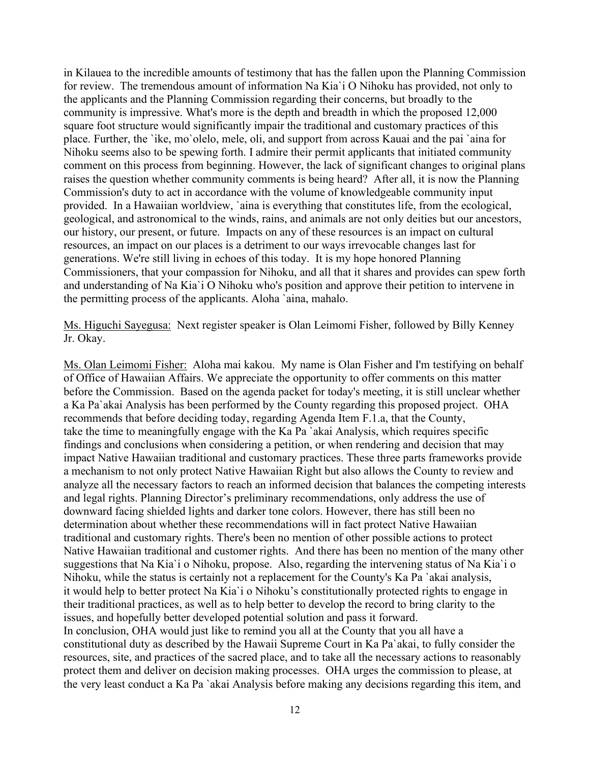in Kilauea to the incredible amounts of testimony that has the fallen upon the Planning Commission for review. The tremendous amount of information Na Kia`i O Nihoku has provided, not only to the applicants and the Planning Commission regarding their concerns, but broadly to the community is impressive. What's more is the depth and breadth in which the proposed 12,000 square foot structure would significantly impair the traditional and customary practices of this place. Further, the `ike, mo`olelo, mele, oli, and support from across Kauai and the pai `aina for Nihoku seems also to be spewing forth. I admire their permit applicants that initiated community comment on this process from beginning. However, the lack of significant changes to original plans raises the question whether community comments is being heard? After all, it is now the Planning Commission's duty to act in accordance with the volume of knowledgeable community input provided. In a Hawaiian worldview, `aina is everything that constitutes life, from the ecological, geological, and astronomical to the winds, rains, and animals are not only deities but our ancestors, our history, our present, or future. Impacts on any of these resources is an impact on cultural resources, an impact on our places is a detriment to our ways irrevocable changes last for generations. We're still living in echoes of this today. It is my hope honored Planning Commissioners, that your compassion for Nihoku, and all that it shares and provides can spew forth and understanding of Na Kia`i O Nihoku who's position and approve their petition to intervene in the permitting process of the applicants. Aloha `aina, mahalo.

Ms. Higuchi Sayegusa: Next register speaker is Olan Leimomi Fisher, followed by Billy Kenney Jr. Okay.

Ms. Olan Leimomi Fisher: Aloha mai kakou. My name is Olan Fisher and I'm testifying on behalf of Office of Hawaiian Affairs. We appreciate the opportunity to offer comments on this matter before the Commission. Based on the agenda packet for today's meeting, it is still unclear whether a Ka Pa`akai Analysis has been performed by the County regarding this proposed project. OHA recommends that before deciding today, regarding Agenda Item F.1.a, that the County, take the time to meaningfully engage with the Ka Pa `akai Analysis, which requires specific findings and conclusions when considering a petition, or when rendering and decision that may impact Native Hawaiian traditional and customary practices. These three parts frameworks provide a mechanism to not only protect Native Hawaiian Right but also allows the County to review and analyze all the necessary factors to reach an informed decision that balances the competing interests and legal rights. Planning Director's preliminary recommendations, only address the use of downward facing shielded lights and darker tone colors. However, there has still been no determination about whether these recommendations will in fact protect Native Hawaiian traditional and customary rights. There's been no mention of other possible actions to protect Native Hawaiian traditional and customer rights. And there has been no mention of the many other suggestions that Na Kia`i o Nihoku, propose. Also, regarding the intervening status of Na Kia`i o Nihoku, while the status is certainly not a replacement for the County's Ka Pa `akai analysis, it would help to better protect Na Kia`i o Nihoku's constitutionally protected rights to engage in their traditional practices, as well as to help better to develop the record to bring clarity to the issues, and hopefully better developed potential solution and pass it forward. In conclusion, OHA would just like to remind you all at the County that you all have a constitutional duty as described by the Hawaii Supreme Court in Ka Pa`akai, to fully consider the resources, site, and practices of the sacred place, and to take all the necessary actions to reasonably protect them and deliver on decision making processes. OHA urges the commission to please, at the very least conduct a Ka Pa `akai Analysis before making any decisions regarding this item, and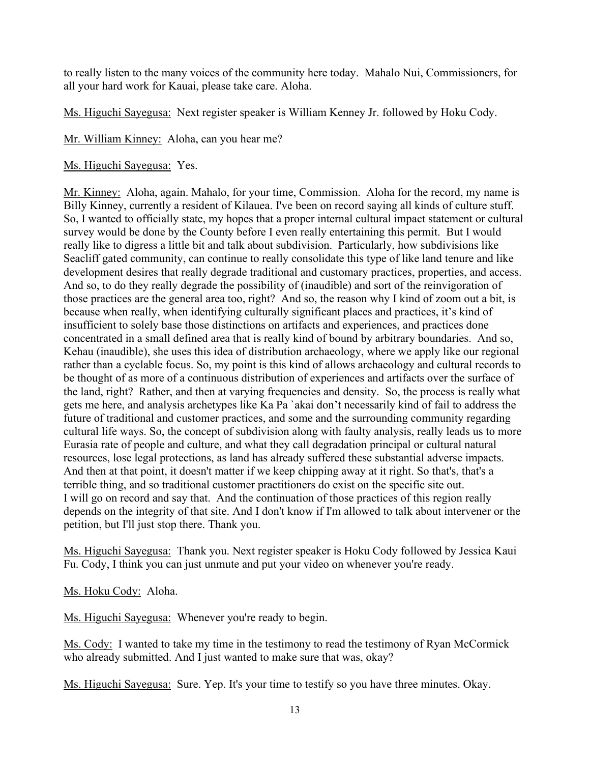to really listen to the many voices of the community here today. Mahalo Nui, Commissioners, for all your hard work for Kauai, please take care. Aloha.

Ms. Higuchi Sayegusa: Next register speaker is William Kenney Jr. followed by Hoku Cody.

Mr. William Kinney: Aloha, can you hear me?

# Ms. Higuchi Sayegusa: Yes.

Mr. Kinney: Aloha, again. Mahalo, for your time, Commission. Aloha for the record, my name is Billy Kinney, currently a resident of Kilauea. I've been on record saying all kinds of culture stuff. So, I wanted to officially state, my hopes that a proper internal cultural impact statement or cultural survey would be done by the County before I even really entertaining this permit. But I would really like to digress a little bit and talk about subdivision. Particularly, how subdivisions like Seacliff gated community, can continue to really consolidate this type of like land tenure and like development desires that really degrade traditional and customary practices, properties, and access. And so, to do they really degrade the possibility of (inaudible) and sort of the reinvigoration of those practices are the general area too, right? And so, the reason why I kind of zoom out a bit, is because when really, when identifying culturally significant places and practices, it's kind of insufficient to solely base those distinctions on artifacts and experiences, and practices done concentrated in a small defined area that is really kind of bound by arbitrary boundaries. And so, Kehau (inaudible), she uses this idea of distribution archaeology, where we apply like our regional rather than a cyclable focus. So, my point is this kind of allows archaeology and cultural records to be thought of as more of a continuous distribution of experiences and artifacts over the surface of the land, right? Rather, and then at varying frequencies and density. So, the process is really what gets me here, and analysis archetypes like Ka Pa `akai don't necessarily kind of fail to address the future of traditional and customer practices, and some and the surrounding community regarding cultural life ways. So, the concept of subdivision along with faulty analysis, really leads us to more Eurasia rate of people and culture, and what they call degradation principal or cultural natural resources, lose legal protections, as land has already suffered these substantial adverse impacts. And then at that point, it doesn't matter if we keep chipping away at it right. So that's, that's a terrible thing, and so traditional customer practitioners do exist on the specific site out. I will go on record and say that. And the continuation of those practices of this region really depends on the integrity of that site. And I don't know if I'm allowed to talk about intervener or the petition, but I'll just stop there. Thank you.

Ms. Higuchi Sayegusa: Thank you. Next register speaker is Hoku Cody followed by Jessica Kaui Fu. Cody, I think you can just unmute and put your video on whenever you're ready.

Ms. Hoku Cody: Aloha.

Ms. Higuchi Sayegusa: Whenever you're ready to begin.

Ms. Cody: I wanted to take my time in the testimony to read the testimony of Ryan McCormick who already submitted. And I just wanted to make sure that was, okay?

Ms. Higuchi Sayegusa: Sure. Yep. It's your time to testify so you have three minutes. Okay.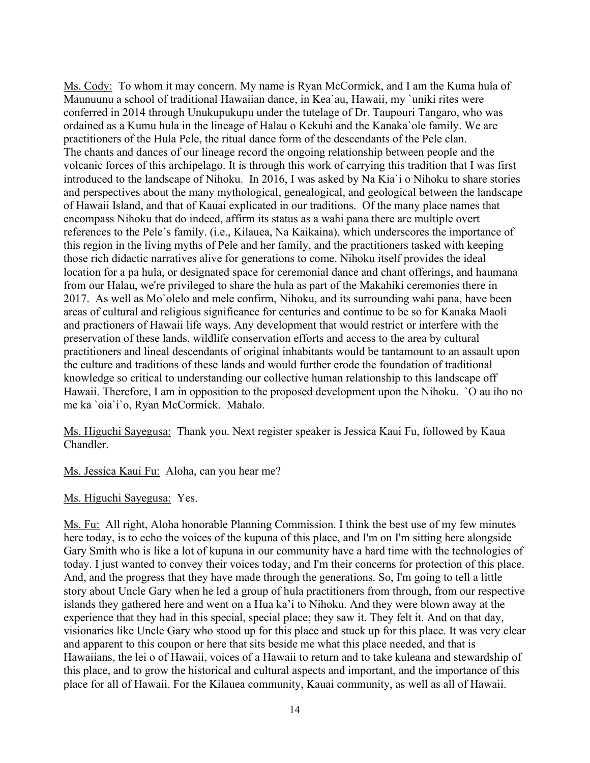Ms. Cody: To whom it may concern. My name is Ryan McCormick, and I am the Kuma hula of Maunuunu a school of traditional Hawaiian dance, in Kea`au, Hawaii, my `uniki rites were conferred in 2014 through Unukupukupu under the tutelage of Dr. Taupouri Tangaro, who was ordained as a Kumu hula in the lineage of Halau o Kekuhi and the Kanaka`ole family. We are practitioners of the Hula Pele, the ritual dance form of the descendants of the Pele clan. The chants and dances of our lineage record the ongoing relationship between people and the volcanic forces of this archipelago. It is through this work of carrying this tradition that I was first introduced to the landscape of Nihoku. In 2016, I was asked by Na Kia`i o Nihoku to share stories and perspectives about the many mythological, genealogical, and geological between the landscape of Hawaii Island, and that of Kauai explicated in our traditions. Of the many place names that encompass Nihoku that do indeed, affirm its status as a wahi pana there are multiple overt references to the Pele's family. (i.e., Kilauea, Na Kaikaina), which underscores the importance of this region in the living myths of Pele and her family, and the practitioners tasked with keeping those rich didactic narratives alive for generations to come. Nihoku itself provides the ideal location for a pa hula, or designated space for ceremonial dance and chant offerings, and haumana from our Halau, we're privileged to share the hula as part of the Makahiki ceremonies there in 2017. As well as Mo`olelo and mele confirm, Nihoku, and its surrounding wahi pana, have been areas of cultural and religious significance for centuries and continue to be so for Kanaka Maoli and practioners of Hawaii life ways. Any development that would restrict or interfere with the preservation of these lands, wildlife conservation efforts and access to the area by cultural practitioners and lineal descendants of original inhabitants would be tantamount to an assault upon the culture and traditions of these lands and would further erode the foundation of traditional knowledge so critical to understanding our collective human relationship to this landscape off Hawaii. Therefore, I am in opposition to the proposed development upon the Nihoku. `O au iho no me ka `oia`i`o, Ryan McCormick. Mahalo.

Ms. Higuchi Sayegusa: Thank you. Next register speaker is Jessica Kaui Fu, followed by Kaua Chandler.

Ms. Jessica Kaui Fu: Aloha, can you hear me?

Ms. Higuchi Sayegusa: Yes.

Ms. Fu: All right, Aloha honorable Planning Commission. I think the best use of my few minutes here today, is to echo the voices of the kupuna of this place, and I'm on I'm sitting here alongside Gary Smith who is like a lot of kupuna in our community have a hard time with the technologies of today. I just wanted to convey their voices today, and I'm their concerns for protection of this place. And, and the progress that they have made through the generations. So, I'm going to tell a little story about Uncle Gary when he led a group of hula practitioners from through, from our respective islands they gathered here and went on a Hua ka'i to Nihoku. And they were blown away at the experience that they had in this special, special place; they saw it. They felt it. And on that day, visionaries like Uncle Gary who stood up for this place and stuck up for this place. It was very clear and apparent to this coupon or here that sits beside me what this place needed, and that is Hawaiians, the lei o of Hawaii, voices of a Hawaii to return and to take kuleana and stewardship of this place, and to grow the historical and cultural aspects and important, and the importance of this place for all of Hawaii. For the Kilauea community, Kauai community, as well as all of Hawaii.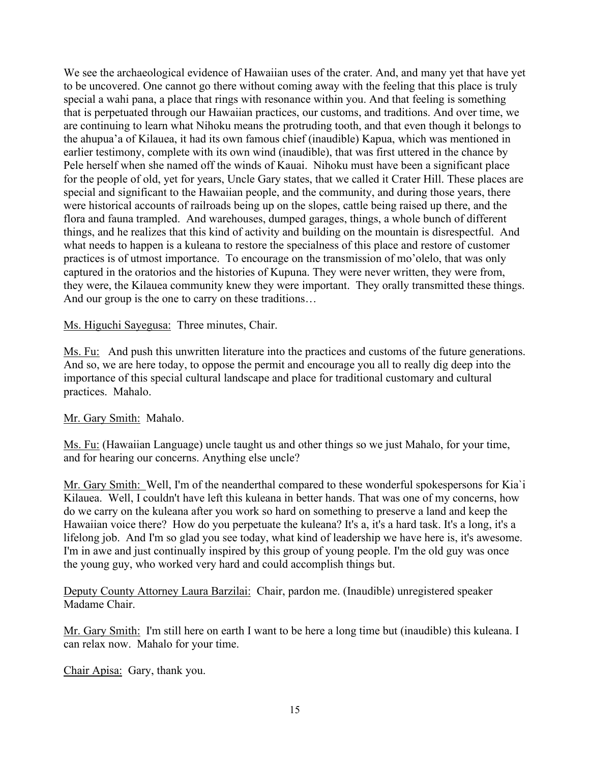We see the archaeological evidence of Hawaiian uses of the crater. And, and many yet that have yet to be uncovered. One cannot go there without coming away with the feeling that this place is truly special a wahi pana, a place that rings with resonance within you. And that feeling is something that is perpetuated through our Hawaiian practices, our customs, and traditions. And over time, we are continuing to learn what Nihoku means the protruding tooth, and that even though it belongs to the ahupua'a of Kilauea, it had its own famous chief (inaudible) Kapua, which was mentioned in earlier testimony, complete with its own wind (inaudible), that was first uttered in the chance by Pele herself when she named off the winds of Kauai. Nihoku must have been a significant place for the people of old, yet for years, Uncle Gary states, that we called it Crater Hill. These places are special and significant to the Hawaiian people, and the community, and during those years, there were historical accounts of railroads being up on the slopes, cattle being raised up there, and the flora and fauna trampled. And warehouses, dumped garages, things, a whole bunch of different things, and he realizes that this kind of activity and building on the mountain is disrespectful. And what needs to happen is a kuleana to restore the specialness of this place and restore of customer practices is of utmost importance. To encourage on the transmission of mo'olelo, that was only captured in the oratorios and the histories of Kupuna. They were never written, they were from, they were, the Kilauea community knew they were important. They orally transmitted these things. And our group is the one to carry on these traditions…

## Ms. Higuchi Sayegusa: Three minutes, Chair.

Ms. Fu: And push this unwritten literature into the practices and customs of the future generations. And so, we are here today, to oppose the permit and encourage you all to really dig deep into the importance of this special cultural landscape and place for traditional customary and cultural practices. Mahalo.

## Mr. Gary Smith: Mahalo.

Ms. Fu: (Hawaiian Language) uncle taught us and other things so we just Mahalo, for your time, and for hearing our concerns. Anything else uncle?

Mr. Gary Smith: Well, I'm of the neanderthal compared to these wonderful spokespersons for Kia`i Kilauea. Well, I couldn't have left this kuleana in better hands. That was one of my concerns, how do we carry on the kuleana after you work so hard on something to preserve a land and keep the Hawaiian voice there? How do you perpetuate the kuleana? It's a, it's a hard task. It's a long, it's a lifelong job. And I'm so glad you see today, what kind of leadership we have here is, it's awesome. I'm in awe and just continually inspired by this group of young people. I'm the old guy was once the young guy, who worked very hard and could accomplish things but.

Deputy County Attorney Laura Barzilai: Chair, pardon me. (Inaudible) unregistered speaker Madame Chair.

Mr. Gary Smith: I'm still here on earth I want to be here a long time but (inaudible) this kuleana. I can relax now. Mahalo for your time.

Chair Apisa: Gary, thank you.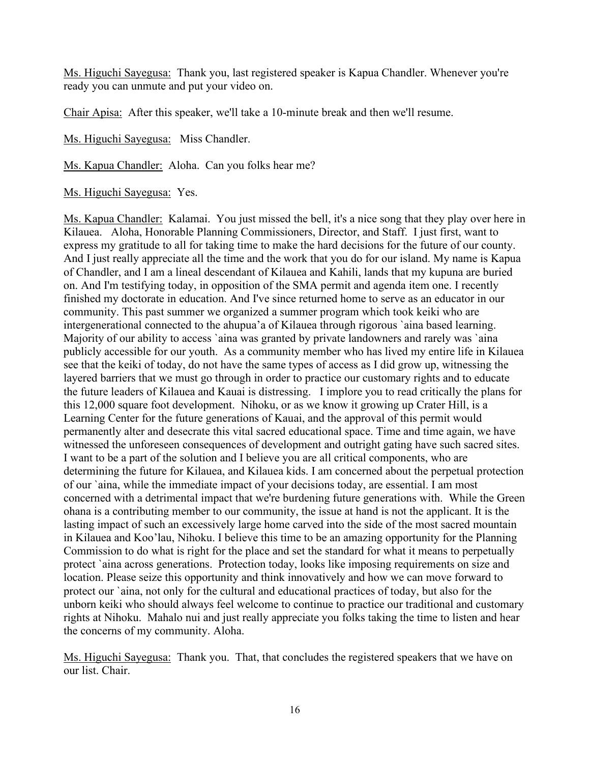Ms. Higuchi Sayegusa: Thank you, last registered speaker is Kapua Chandler. Whenever you're ready you can unmute and put your video on.

Chair Apisa: After this speaker, we'll take a 10-minute break and then we'll resume.

Ms. Higuchi Sayegusa: Miss Chandler.

Ms. Kapua Chandler: Aloha. Can you folks hear me?

Ms. Higuchi Sayegusa: Yes.

Ms. Kapua Chandler: Kalamai. You just missed the bell, it's a nice song that they play over here in Kilauea. Aloha, Honorable Planning Commissioners, Director, and Staff. I just first, want to express my gratitude to all for taking time to make the hard decisions for the future of our county. And I just really appreciate all the time and the work that you do for our island. My name is Kapua of Chandler, and I am a lineal descendant of Kilauea and Kahili, lands that my kupuna are buried on. And I'm testifying today, in opposition of the SMA permit and agenda item one. I recently finished my doctorate in education. And I've since returned home to serve as an educator in our community. This past summer we organized a summer program which took keiki who are intergenerational connected to the ahupua'a of Kilauea through rigorous `aina based learning. Majority of our ability to access 'aina was granted by private landowners and rarely was 'aina publicly accessible for our youth. As a community member who has lived my entire life in Kilauea see that the keiki of today, do not have the same types of access as I did grow up, witnessing the layered barriers that we must go through in order to practice our customary rights and to educate the future leaders of Kilauea and Kauai is distressing. I implore you to read critically the plans for this 12,000 square foot development. Nihoku, or as we know it growing up Crater Hill, is a Learning Center for the future generations of Kauai, and the approval of this permit would permanently alter and desecrate this vital sacred educational space. Time and time again, we have witnessed the unforeseen consequences of development and outright gating have such sacred sites. I want to be a part of the solution and I believe you are all critical components, who are determining the future for Kilauea, and Kilauea kids. I am concerned about the perpetual protection of our `aina, while the immediate impact of your decisions today, are essential. I am most concerned with a detrimental impact that we're burdening future generations with. While the Green ohana is a contributing member to our community, the issue at hand is not the applicant. It is the lasting impact of such an excessively large home carved into the side of the most sacred mountain in Kilauea and Koo'lau, Nihoku. I believe this time to be an amazing opportunity for the Planning Commission to do what is right for the place and set the standard for what it means to perpetually protect `aina across generations. Protection today, looks like imposing requirements on size and location. Please seize this opportunity and think innovatively and how we can move forward to protect our `aina, not only for the cultural and educational practices of today, but also for the unborn keiki who should always feel welcome to continue to practice our traditional and customary rights at Nihoku. Mahalo nui and just really appreciate you folks taking the time to listen and hear the concerns of my community. Aloha.

Ms. Higuchi Sayegusa: Thank you. That, that concludes the registered speakers that we have on our list. Chair.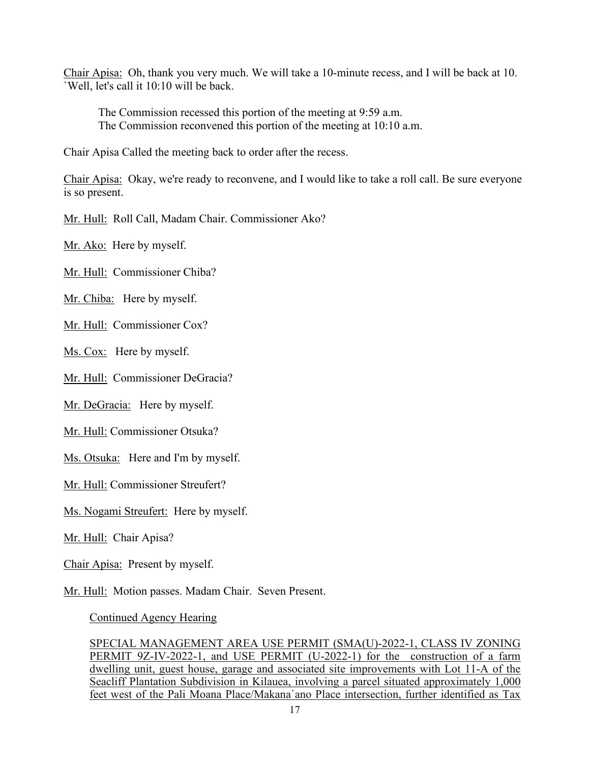Chair Apisa: Oh, thank you very much. We will take a 10-minute recess, and I will be back at 10. `Well, let's call it 10:10 will be back.

The Commission recessed this portion of the meeting at 9:59 a.m. The Commission reconvened this portion of the meeting at 10:10 a.m.

Chair Apisa Called the meeting back to order after the recess.

Chair Apisa: Okay, we're ready to reconvene, and I would like to take a roll call. Be sure everyone is so present.

Mr. Hull: Roll Call, Madam Chair. Commissioner Ako?

Mr. Ako: Here by myself.

Mr. Hull: Commissioner Chiba?

Mr. Chiba: Here by myself.

Mr. Hull: Commissioner Cox?

Ms. Cox: Here by myself.

Mr. Hull: Commissioner DeGracia?

Mr. DeGracia: Here by myself.

Mr. Hull: Commissioner Otsuka?

Ms. Otsuka: Here and I'm by myself.

Mr. Hull: Commissioner Streufert?

Ms. Nogami Streufert: Here by myself.

Mr. Hull: Chair Apisa?

Chair Apisa: Present by myself.

Mr. Hull: Motion passes. Madam Chair. Seven Present.

Continued Agency Hearing

SPECIAL MANAGEMENT AREA USE PERMIT (SMA(U)-2022-1, CLASS IV ZONING PERMIT 9Z-IV-2022-1, and USE PERMIT (U-2022-1) for the construction of a farm dwelling unit, guest house, garage and associated site improvements with Lot 11-A of the Seacliff Plantation Subdivision in Kilauea, involving a parcel situated approximately 1,000 feet west of the Pali Moana Place/Makana`ano Place intersection, further identified as Tax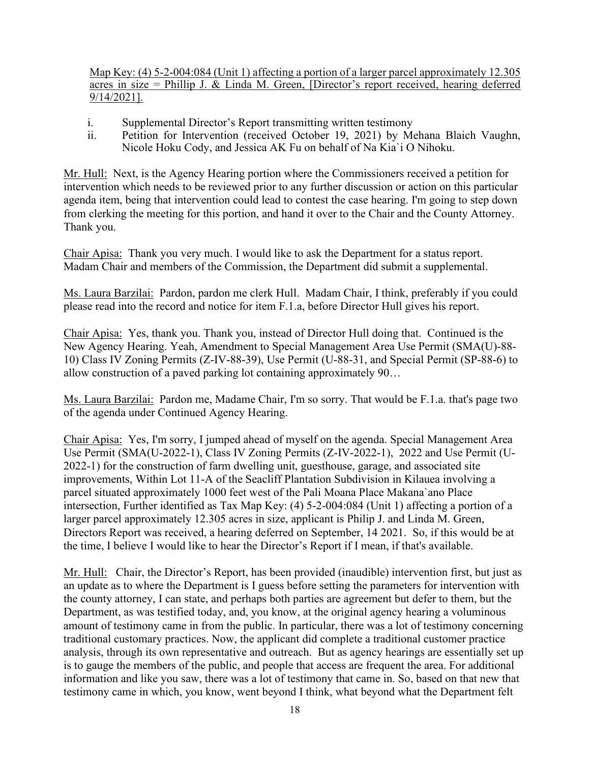Map Key: (4) 5-2-004:084 (Unit 1) affecting a portion of a larger parcel approximately 12.305 acres in size = Phillip J. & Linda M. Green, [Director's report received, hearing deferred 9/14/2021].

- i. Supplemental Director's Report transmitting written testimony
- ii. Petition for Intervention (received October 19, 2021) by Mehana Blaich Vaughn, Nicole Hoku Cody, and Jessica AK Fu on behalf of Na Kia`i O Nihoku.

Mr. Hull: Next, is the Agency Hearing portion where the Commissioners received a petition for intervention which needs to be reviewed prior to any further discussion or action on this particular agenda item, being that intervention could lead to contest the case hearing. I'm going to step down from clerking the meeting for this portion, and hand it over to the Chair and the County Attorney. Thank you.

Chair Apisa: Thank you very much. I would like to ask the Department for a status report. Madam Chair and members of the Commission, the Department did submit a supplemental.

Ms. Laura Barzilai: Pardon, pardon me clerk Hull. Madam Chair, I think, preferably if you could please read into the record and notice for item F.1.a, before Director Hull gives his report.

Chair Apisa: Yes, thank you. Thank you, instead of Director Hull doing that. Continued is the New Agency Hearing. Yeah, Amendment to Special Management Area Use Permit (SMA(U)-88- 10) Class IV Zoning Permits (Z-IV-88-39), Use Permit (U-88-31, and Special Permit (SP-88-6) to allow construction of a paved parking lot containing approximately 90…

Ms. Laura Barzilai: Pardon me, Madame Chair, I'm so sorry. That would be F.1.a. that's page two of the agenda under Continued Agency Hearing.

Chair Apisa: Yes, I'm sorry, I jumped ahead of myself on the agenda. Special Management Area Use Permit (SMA(U-2022-1), Class IV Zoning Permits (Z-IV-2022-1), 2022 and Use Permit (U-2022-1) for the construction of farm dwelling unit, guesthouse, garage, and associated site improvements, Within Lot 11-A of the Seacliff Plantation Subdivision in Kilauea involving a parcel situated approximately 1000 feet west of the Pali Moana Place Makana`ano Place intersection, Further identified as Tax Map Key: (4) 5-2-004:084 (Unit 1) affecting a portion of a larger parcel approximately 12.305 acres in size, applicant is Philip J. and Linda M. Green, Directors Report was received, a hearing deferred on September, 14 2021. So, if this would be at the time, I believe I would like to hear the Director's Report if I mean, if that's available.

Mr. Hull: Chair, the Director's Report, has been provided (inaudible) intervention first, but just as an update as to where the Department is I guess before setting the parameters for intervention with the county attorney, I can state, and perhaps both parties are agreement but defer to them, but the Department, as was testified today, and, you know, at the original agency hearing a voluminous amount of testimony came in from the public. In particular, there was a lot of testimony concerning traditional customary practices. Now, the applicant did complete a traditional customer practice analysis, through its own representative and outreach. But as agency hearings are essentially set up is to gauge the members of the public, and people that access are frequent the area. For additional information and like you saw, there was a lot of testimony that came in. So, based on that new that testimony came in which, you know, went beyond I think, what beyond what the Department felt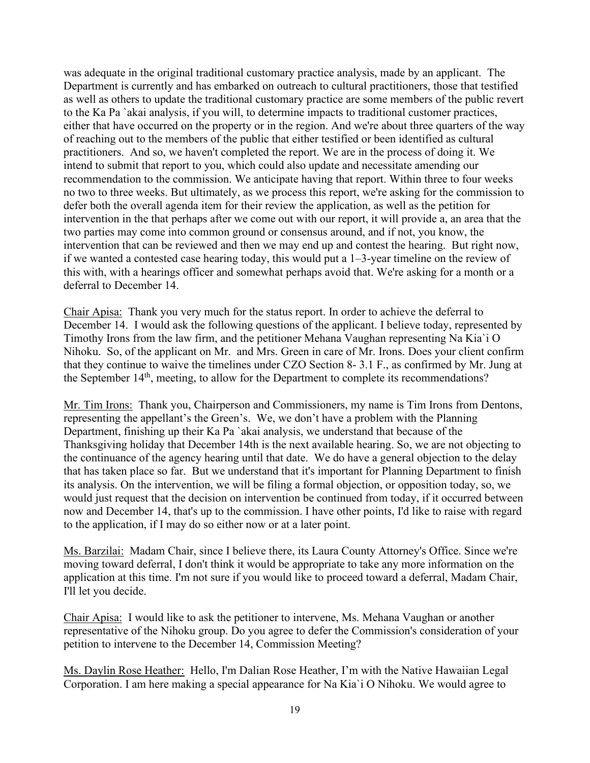was adequate in the original traditional customary practice analysis, made by an applicant. The Department is currently and has embarked on outreach to cultural practitioners, those that testified as well as others to update the traditional customary practice are some members of the public revert to the Ka Pa `akai analysis, if you will, to determine impacts to traditional customer practices, either that have occurred on the property or in the region. And we're about three quarters of the way of reaching out to the members of the public that either testified or been identified as cultural practitioners. And so, we haven't completed the report. We are in the process of doing it. We intend to submit that report to you, which could also update and necessitate amending our recommendation to the commission. We anticipate having that report. Within three to four weeks no two to three weeks. But ultimately, as we process this report, we're asking for the commission to defer both the overall agenda item for their review the application, as well as the petition for intervention in the that perhaps after we come out with our report, it will provide a, an area that the two parties may come into common ground or consensus around, and if not, you know, the intervention that can be reviewed and then we may end up and contest the hearing. But right now, if we wanted a contested case hearing today, this would put a 1–3-year timeline on the review of this with, with a hearings officer and somewhat perhaps avoid that. We're asking for a month or a deferral to December 14.

Chair Apisa: Thank you very much for the status report. In order to achieve the deferral to December 14. I would ask the following questions of the applicant. I believe today, represented by Timothy Irons from the law firm, and the petitioner Mehana Vaughan representing Na Kia`i O Nihoku. So, of the applicant on Mr. and Mrs. Green in care of Mr. Irons. Does your client confirm that they continue to waive the timelines under CZO Section 8- 3.1 F., as confirmed by Mr. Jung at the September  $14<sup>th</sup>$ , meeting, to allow for the Department to complete its recommendations?

Mr. Tim Irons: Thank you, Chairperson and Commissioners, my name is Tim Irons from Dentons, representing the appellant's the Green's. We, we don't have a problem with the Planning Department, finishing up their Ka Pa `akai analysis, we understand that because of the Thanksgiving holiday that December 14th is the next available hearing. So, we are not objecting to the continuance of the agency hearing until that date. We do have a general objection to the delay that has taken place so far. But we understand that it's important for Planning Department to finish its analysis. On the intervention, we will be filing a formal objection, or opposition today, so, we would just request that the decision on intervention be continued from today, if it occurred between now and December 14, that's up to the commission. I have other points, I'd like to raise with regard to the application, if I may do so either now or at a later point.

Ms. Barzilai: Madam Chair, since I believe there, its Laura County Attorney's Office. Since we're moving toward deferral, I don't think it would be appropriate to take any more information on the application at this time. I'm not sure if you would like to proceed toward a deferral, Madam Chair, I'll let you decide.

Chair Apisa: I would like to ask the petitioner to intervene, Ms. Mehana Vaughan or another representative of the Nihoku group. Do you agree to defer the Commission's consideration of your petition to intervene to the December 14, Commission Meeting?

Ms. Daylin Rose Heather: Hello, I'm Dalian Rose Heather, I'm with the Native Hawaiian Legal Corporation. I am here making a special appearance for Na Kia`i O Nihoku. We would agree to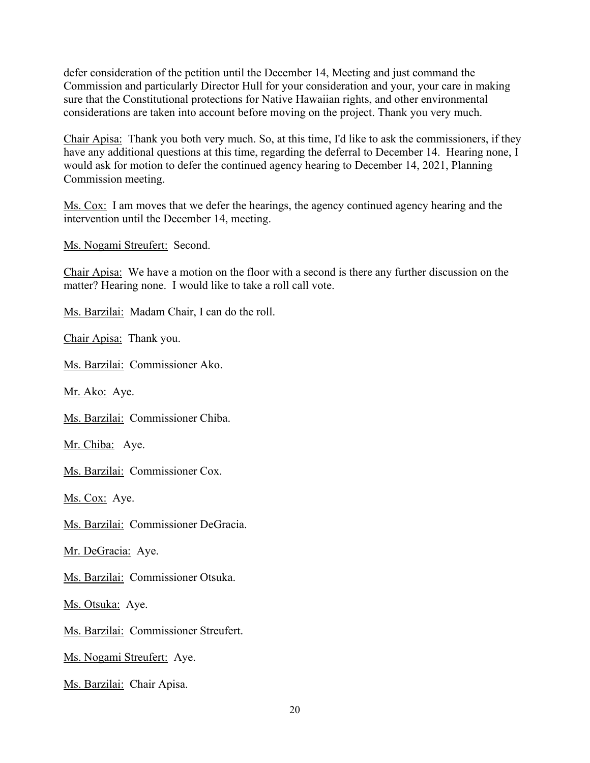defer consideration of the petition until the December 14, Meeting and just command the Commission and particularly Director Hull for your consideration and your, your care in making sure that the Constitutional protections for Native Hawaiian rights, and other environmental considerations are taken into account before moving on the project. Thank you very much.

Chair Apisa: Thank you both very much. So, at this time, I'd like to ask the commissioners, if they have any additional questions at this time, regarding the deferral to December 14. Hearing none, I would ask for motion to defer the continued agency hearing to December 14, 2021, Planning Commission meeting.

Ms. Cox: I am moves that we defer the hearings, the agency continued agency hearing and the intervention until the December 14, meeting.

Ms. Nogami Streufert: Second.

Chair Apisa: We have a motion on the floor with a second is there any further discussion on the matter? Hearing none. I would like to take a roll call vote.

Ms. Barzilai: Madam Chair, I can do the roll.

Chair Apisa: Thank you.

Ms. Barzilai: Commissioner Ako.

Mr. Ako: Aye.

Ms. Barzilai: Commissioner Chiba.

Mr. Chiba: Aye.

Ms. Barzilai: Commissioner Cox.

Ms. Cox: Aye.

Ms. Barzilai: Commissioner DeGracia.

Mr. DeGracia: Aye.

Ms. Barzilai: Commissioner Otsuka.

Ms. Otsuka: Aye.

Ms. Barzilai: Commissioner Streufert.

Ms. Nogami Streufert: Aye.

Ms. Barzilai: Chair Apisa.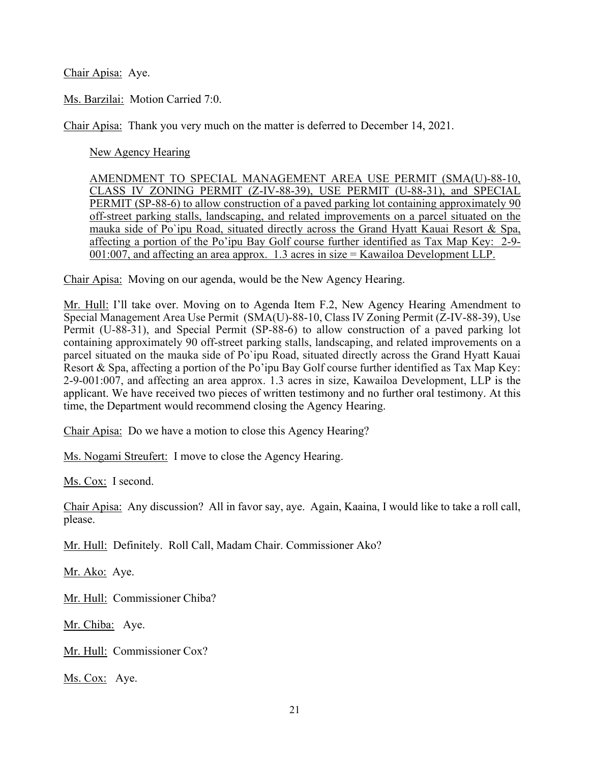Chair Apisa: Aye.

Ms. Barzilai: Motion Carried 7:0.

Chair Apisa: Thank you very much on the matter is deferred to December 14, 2021.

New Agency Hearing

AMENDMENT TO SPECIAL MANAGEMENT AREA USE PERMIT (SMA(U)-88-10, CLASS IV ZONING PERMIT (Z-IV-88-39), USE PERMIT (U-88-31), and SPECIAL PERMIT (SP-88-6) to allow construction of a paved parking lot containing approximately 90 off-street parking stalls, landscaping, and related improvements on a parcel situated on the mauka side of Po`ipu Road, situated directly across the Grand Hyatt Kauai Resort & Spa, affecting a portion of the Po'ipu Bay Golf course further identified as Tax Map Key: 2-9- 001:007, and affecting an area approx. 1.3 acres in size = Kawailoa Development LLP.

Chair Apisa: Moving on our agenda, would be the New Agency Hearing.

Mr. Hull: I'll take over. Moving on to Agenda Item F.2, New Agency Hearing Amendment to Special Management Area Use Permit (SMA(U)-88-10, Class IV Zoning Permit (Z-IV-88-39), Use Permit (U-88-31), and Special Permit (SP-88-6) to allow construction of a paved parking lot containing approximately 90 off-street parking stalls, landscaping, and related improvements on a parcel situated on the mauka side of Po`ipu Road, situated directly across the Grand Hyatt Kauai Resort & Spa, affecting a portion of the Po'ipu Bay Golf course further identified as Tax Map Key: 2-9-001:007, and affecting an area approx. 1.3 acres in size, Kawailoa Development, LLP is the applicant. We have received two pieces of written testimony and no further oral testimony. At this time, the Department would recommend closing the Agency Hearing.

Chair Apisa: Do we have a motion to close this Agency Hearing?

Ms. Nogami Streufert: I move to close the Agency Hearing.

Ms. Cox: I second.

Chair Apisa: Any discussion? All in favor say, aye. Again, Kaaina, I would like to take a roll call, please.

Mr. Hull: Definitely. Roll Call, Madam Chair. Commissioner Ako?

Mr. Ako: Aye.

Mr. Hull: Commissioner Chiba?

Mr. Chiba: Aye.

Mr. Hull: Commissioner Cox?

Ms. Cox: Aye.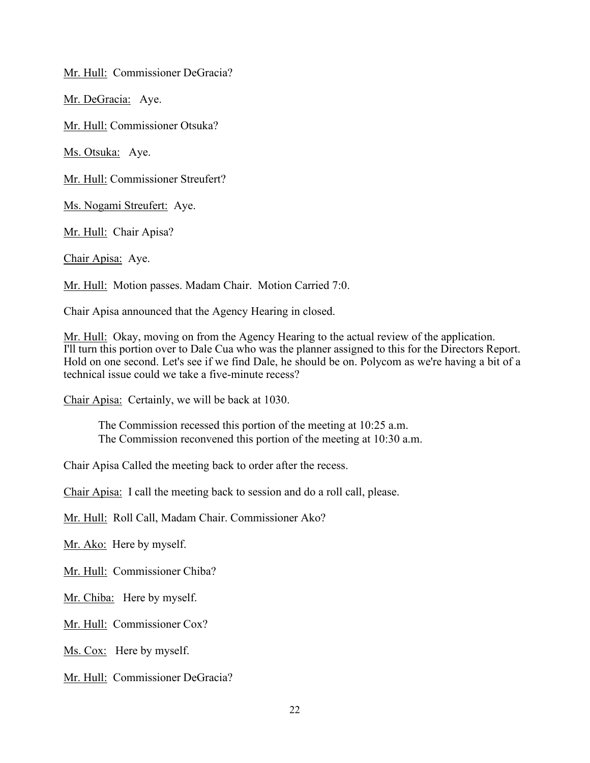Mr. Hull: Commissioner DeGracia?

Mr. DeGracia: Aye.

Mr. Hull: Commissioner Otsuka?

Ms. Otsuka: Aye.

Mr. Hull: Commissioner Streufert?

Ms. Nogami Streufert: Aye.

Mr. Hull: Chair Apisa?

Chair Apisa: Aye.

Mr. Hull: Motion passes. Madam Chair. Motion Carried 7:0.

Chair Apisa announced that the Agency Hearing in closed.

Mr. Hull: Okay, moving on from the Agency Hearing to the actual review of the application. I'll turn this portion over to Dale Cua who was the planner assigned to this for the Directors Report. Hold on one second. Let's see if we find Dale, he should be on. Polycom as we're having a bit of a technical issue could we take a five-minute recess?

Chair Apisa: Certainly, we will be back at 1030.

The Commission recessed this portion of the meeting at 10:25 a.m. The Commission reconvened this portion of the meeting at 10:30 a.m.

Chair Apisa Called the meeting back to order after the recess.

Chair Apisa: I call the meeting back to session and do a roll call, please.

Mr. Hull: Roll Call, Madam Chair. Commissioner Ako?

Mr. Ako: Here by myself.

Mr. Hull: Commissioner Chiba?

Mr. Chiba: Here by myself.

Mr. Hull: Commissioner Cox?

Ms. Cox: Here by myself.

Mr. Hull: Commissioner DeGracia?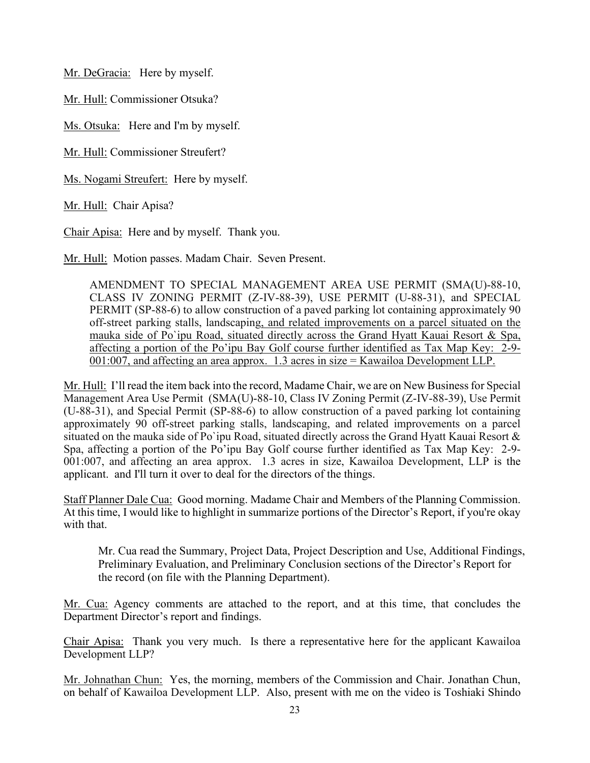Mr. DeGracia: Here by myself.

Mr. Hull: Commissioner Otsuka?

Ms. Otsuka: Here and I'm by myself.

Mr. Hull: Commissioner Streufert?

Ms. Nogami Streufert: Here by myself.

Mr. Hull: Chair Apisa?

Chair Apisa: Here and by myself. Thank you.

Mr. Hull: Motion passes. Madam Chair. Seven Present.

AMENDMENT TO SPECIAL MANAGEMENT AREA USE PERMIT (SMA(U)-88-10, CLASS IV ZONING PERMIT (Z-IV-88-39), USE PERMIT (U-88-31), and SPECIAL PERMIT (SP-88-6) to allow construction of a paved parking lot containing approximately 90 off-street parking stalls, landscaping, and related improvements on a parcel situated on the mauka side of Po`ipu Road, situated directly across the Grand Hyatt Kauai Resort & Spa, affecting a portion of the Po'ipu Bay Golf course further identified as Tax Map Key: 2-9- 001:007, and affecting an area approx. 1.3 acres in size = Kawailoa Development LLP.

Mr. Hull: I'll read the item back into the record, Madame Chair, we are on New Business for Special Management Area Use Permit (SMA(U)-88-10, Class IV Zoning Permit (Z-IV-88-39), Use Permit (U-88-31), and Special Permit (SP-88-6) to allow construction of a paved parking lot containing approximately 90 off-street parking stalls, landscaping, and related improvements on a parcel situated on the mauka side of Po`ipu Road, situated directly across the Grand Hyatt Kauai Resort & Spa, affecting a portion of the Po'ipu Bay Golf course further identified as Tax Map Key: 2-9- 001:007, and affecting an area approx. 1.3 acres in size, Kawailoa Development, LLP is the applicant. and I'll turn it over to deal for the directors of the things.

Staff Planner Dale Cua: Good morning. Madame Chair and Members of the Planning Commission. At this time, I would like to highlight in summarize portions of the Director's Report, if you're okay with that.

Mr. Cua read the Summary, Project Data, Project Description and Use, Additional Findings, Preliminary Evaluation, and Preliminary Conclusion sections of the Director's Report for the record (on file with the Planning Department).

Mr. Cua: Agency comments are attached to the report, and at this time, that concludes the Department Director's report and findings.

Chair Apisa: Thank you very much. Is there a representative here for the applicant Kawailoa Development LLP?

Mr. Johnathan Chun: Yes, the morning, members of the Commission and Chair. Jonathan Chun, on behalf of Kawailoa Development LLP. Also, present with me on the video is Toshiaki Shindo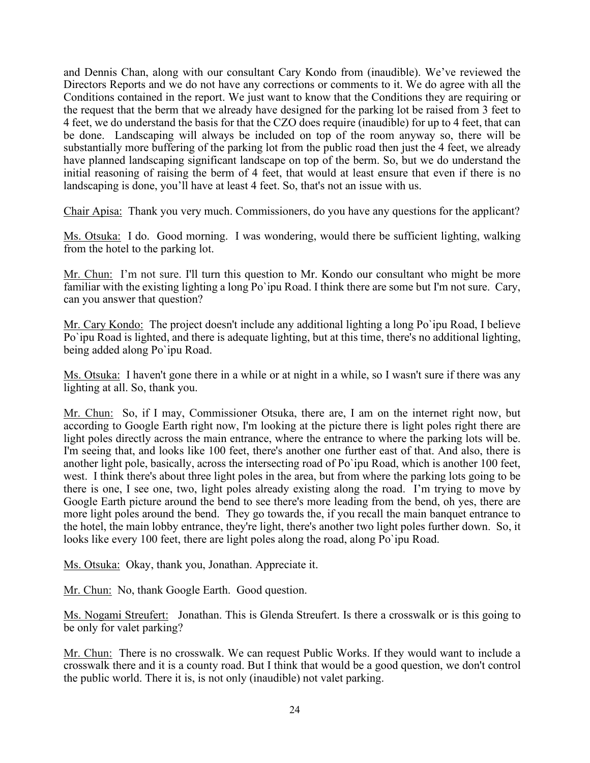and Dennis Chan, along with our consultant Cary Kondo from (inaudible). We've reviewed the Directors Reports and we do not have any corrections or comments to it. We do agree with all the Conditions contained in the report. We just want to know that the Conditions they are requiring or the request that the berm that we already have designed for the parking lot be raised from 3 feet to 4 feet, we do understand the basis for that the CZO does require (inaudible) for up to 4 feet, that can be done. Landscaping will always be included on top of the room anyway so, there will be substantially more buffering of the parking lot from the public road then just the 4 feet, we already have planned landscaping significant landscape on top of the berm. So, but we do understand the initial reasoning of raising the berm of 4 feet, that would at least ensure that even if there is no landscaping is done, you'll have at least 4 feet. So, that's not an issue with us.

Chair Apisa: Thank you very much. Commissioners, do you have any questions for the applicant?

Ms. Otsuka: I do. Good morning. I was wondering, would there be sufficient lighting, walking from the hotel to the parking lot.

Mr. Chun: I'm not sure. I'll turn this question to Mr. Kondo our consultant who might be more familiar with the existing lighting a long Po`ipu Road. I think there are some but I'm not sure. Cary, can you answer that question?

Mr. Cary Kondo: The project doesn't include any additional lighting a long Po`ipu Road, I believe Po`ipu Road is lighted, and there is adequate lighting, but at this time, there's no additional lighting, being added along Po`ipu Road.

Ms. Otsuka: I haven't gone there in a while or at night in a while, so I wasn't sure if there was any lighting at all. So, thank you.

Mr. Chun: So, if I may, Commissioner Otsuka, there are, I am on the internet right now, but according to Google Earth right now, I'm looking at the picture there is light poles right there are light poles directly across the main entrance, where the entrance to where the parking lots will be. I'm seeing that, and looks like 100 feet, there's another one further east of that. And also, there is another light pole, basically, across the intersecting road of Po`ipu Road, which is another 100 feet, west. I think there's about three light poles in the area, but from where the parking lots going to be there is one, I see one, two, light poles already existing along the road. I'm trying to move by Google Earth picture around the bend to see there's more leading from the bend, oh yes, there are more light poles around the bend. They go towards the, if you recall the main banquet entrance to the hotel, the main lobby entrance, they're light, there's another two light poles further down. So, it looks like every 100 feet, there are light poles along the road, along Po`ipu Road.

Ms. Otsuka: Okay, thank you, Jonathan. Appreciate it.

Mr. Chun: No, thank Google Earth. Good question.

Ms. Nogami Streufert: Jonathan. This is Glenda Streufert. Is there a crosswalk or is this going to be only for valet parking?

Mr. Chun: There is no crosswalk. We can request Public Works. If they would want to include a crosswalk there and it is a county road. But I think that would be a good question, we don't control the public world. There it is, is not only (inaudible) not valet parking.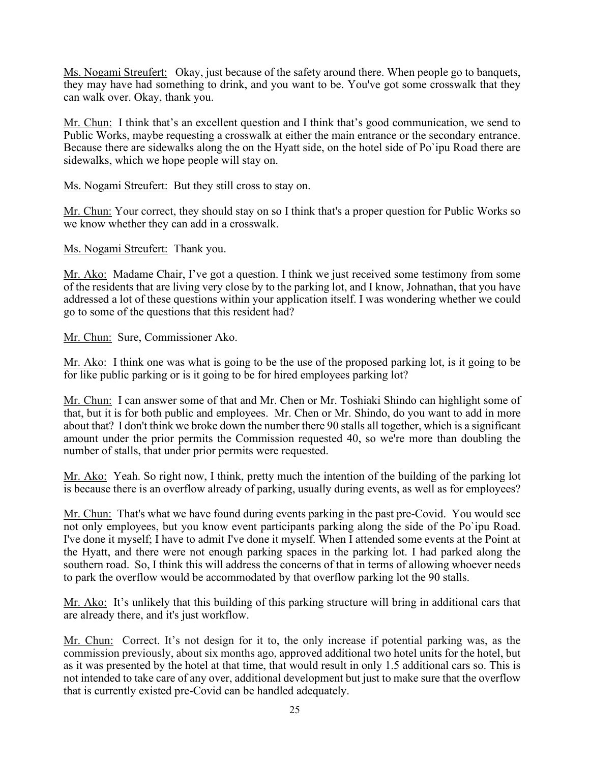Ms. Nogami Streufert: Okay, just because of the safety around there. When people go to banquets, they may have had something to drink, and you want to be. You've got some crosswalk that they can walk over. Okay, thank you.

Mr. Chun: I think that's an excellent question and I think that's good communication, we send to Public Works, maybe requesting a crosswalk at either the main entrance or the secondary entrance. Because there are sidewalks along the on the Hyatt side, on the hotel side of Po`ipu Road there are sidewalks, which we hope people will stay on.

Ms. Nogami Streufert: But they still cross to stay on.

Mr. Chun: Your correct, they should stay on so I think that's a proper question for Public Works so we know whether they can add in a crosswalk.

Ms. Nogami Streufert: Thank you.

Mr. Ako: Madame Chair, I've got a question. I think we just received some testimony from some of the residents that are living very close by to the parking lot, and I know, Johnathan, that you have addressed a lot of these questions within your application itself. I was wondering whether we could go to some of the questions that this resident had?

Mr. Chun: Sure, Commissioner Ako.

Mr. Ako: I think one was what is going to be the use of the proposed parking lot, is it going to be for like public parking or is it going to be for hired employees parking lot?

Mr. Chun: I can answer some of that and Mr. Chen or Mr. Toshiaki Shindo can highlight some of that, but it is for both public and employees. Mr. Chen or Mr. Shindo, do you want to add in more about that? I don't think we broke down the number there 90 stalls all together, which is a significant amount under the prior permits the Commission requested 40, so we're more than doubling the number of stalls, that under prior permits were requested.

Mr. Ako: Yeah. So right now, I think, pretty much the intention of the building of the parking lot is because there is an overflow already of parking, usually during events, as well as for employees?

Mr. Chun: That's what we have found during events parking in the past pre-Covid. You would see not only employees, but you know event participants parking along the side of the Po`ipu Road. I've done it myself; I have to admit I've done it myself. When I attended some events at the Point at the Hyatt, and there were not enough parking spaces in the parking lot. I had parked along the southern road. So, I think this will address the concerns of that in terms of allowing whoever needs to park the overflow would be accommodated by that overflow parking lot the 90 stalls.

Mr. Ako: It's unlikely that this building of this parking structure will bring in additional cars that are already there, and it's just workflow.

Mr. Chun: Correct. It's not design for it to, the only increase if potential parking was, as the commission previously, about six months ago, approved additional two hotel units for the hotel, but as it was presented by the hotel at that time, that would result in only 1.5 additional cars so. This is not intended to take care of any over, additional development but just to make sure that the overflow that is currently existed pre-Covid can be handled adequately.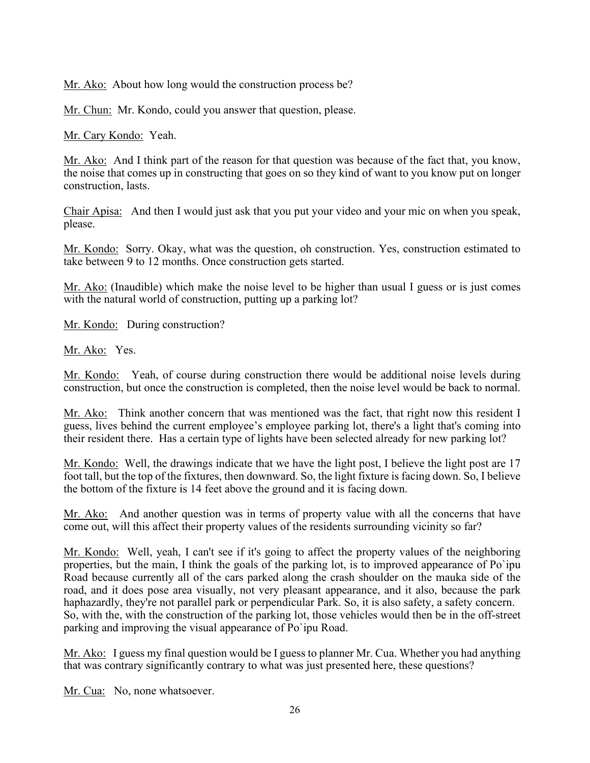Mr. Ako: About how long would the construction process be?

Mr. Chun: Mr. Kondo, could you answer that question, please.

Mr. Cary Kondo: Yeah.

Mr. Ako: And I think part of the reason for that question was because of the fact that, you know, the noise that comes up in constructing that goes on so they kind of want to you know put on longer construction, lasts.

Chair Apisa: And then I would just ask that you put your video and your mic on when you speak, please.

Mr. Kondo: Sorry. Okay, what was the question, oh construction. Yes, construction estimated to take between 9 to 12 months. Once construction gets started.

Mr. Ako: (Inaudible) which make the noise level to be higher than usual I guess or is just comes with the natural world of construction, putting up a parking lot?

Mr. Kondo: During construction?

Mr. Ako: Yes.

Mr. Kondo: Yeah, of course during construction there would be additional noise levels during construction, but once the construction is completed, then the noise level would be back to normal.

Mr. Ako: Think another concern that was mentioned was the fact, that right now this resident I guess, lives behind the current employee's employee parking lot, there's a light that's coming into their resident there. Has a certain type of lights have been selected already for new parking lot?

Mr. Kondo: Well, the drawings indicate that we have the light post, I believe the light post are 17 foot tall, but the top of the fixtures, then downward. So, the light fixture is facing down. So, I believe the bottom of the fixture is 14 feet above the ground and it is facing down.

Mr. Ako: And another question was in terms of property value with all the concerns that have come out, will this affect their property values of the residents surrounding vicinity so far?

Mr. Kondo: Well, yeah, I can't see if it's going to affect the property values of the neighboring properties, but the main, I think the goals of the parking lot, is to improved appearance of Po`ipu Road because currently all of the cars parked along the crash shoulder on the mauka side of the road, and it does pose area visually, not very pleasant appearance, and it also, because the park haphazardly, they're not parallel park or perpendicular Park. So, it is also safety, a safety concern. So, with the, with the construction of the parking lot, those vehicles would then be in the off-street parking and improving the visual appearance of Po`ipu Road.

Mr. Ako: I guess my final question would be I guess to planner Mr. Cua. Whether you had anything that was contrary significantly contrary to what was just presented here, these questions?

Mr. Cua: No, none whatsoever.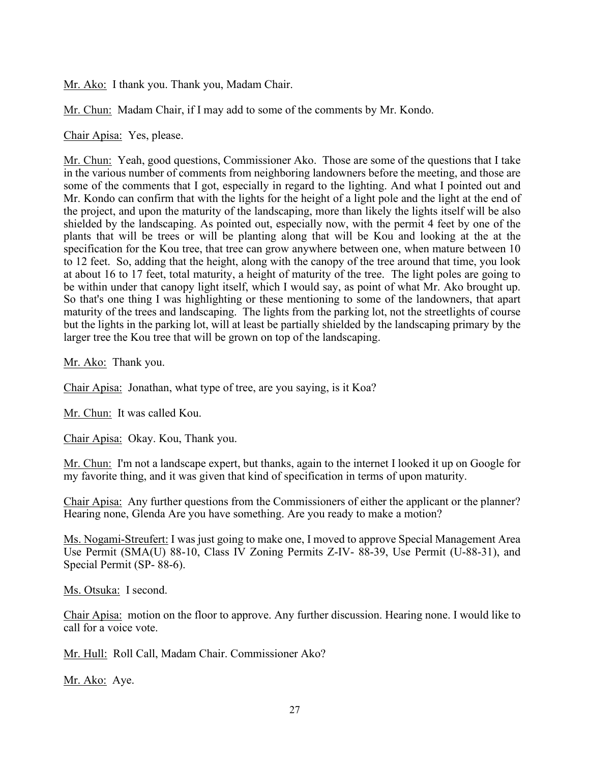Mr. Ako: I thank you. Thank you, Madam Chair.

Mr. Chun: Madam Chair, if I may add to some of the comments by Mr. Kondo.

Chair Apisa: Yes, please.

Mr. Chun: Yeah, good questions, Commissioner Ako. Those are some of the questions that I take in the various number of comments from neighboring landowners before the meeting, and those are some of the comments that I got, especially in regard to the lighting. And what I pointed out and Mr. Kondo can confirm that with the lights for the height of a light pole and the light at the end of the project, and upon the maturity of the landscaping, more than likely the lights itself will be also shielded by the landscaping. As pointed out, especially now, with the permit 4 feet by one of the plants that will be trees or will be planting along that will be Kou and looking at the at the specification for the Kou tree, that tree can grow anywhere between one, when mature between 10 to 12 feet. So, adding that the height, along with the canopy of the tree around that time, you look at about 16 to 17 feet, total maturity, a height of maturity of the tree. The light poles are going to be within under that canopy light itself, which I would say, as point of what Mr. Ako brought up. So that's one thing I was highlighting or these mentioning to some of the landowners, that apart maturity of the trees and landscaping. The lights from the parking lot, not the streetlights of course but the lights in the parking lot, will at least be partially shielded by the landscaping primary by the larger tree the Kou tree that will be grown on top of the landscaping.

Mr. Ako: Thank you.

Chair Apisa: Jonathan, what type of tree, are you saying, is it Koa?

Mr. Chun: It was called Kou.

Chair Apisa: Okay. Kou, Thank you.

Mr. Chun: I'm not a landscape expert, but thanks, again to the internet I looked it up on Google for my favorite thing, and it was given that kind of specification in terms of upon maturity.

Chair Apisa: Any further questions from the Commissioners of either the applicant or the planner? Hearing none, Glenda Are you have something. Are you ready to make a motion?

Ms. Nogami-Streufert: I was just going to make one, I moved to approve Special Management Area Use Permit (SMA(U) 88-10, Class IV Zoning Permits Z-IV- 88-39, Use Permit (U-88-31), and Special Permit (SP- 88-6).

Ms. Otsuka: I second.

Chair Apisa: motion on the floor to approve. Any further discussion. Hearing none. I would like to call for a voice vote.

Mr. Hull: Roll Call, Madam Chair. Commissioner Ako?

Mr. Ako: Aye.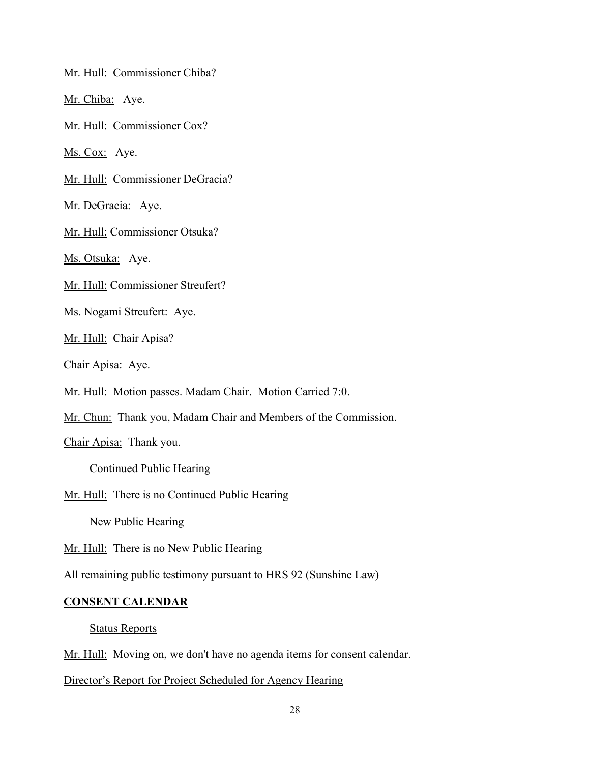Mr. Hull: Commissioner Chiba?

Mr. Chiba: Aye.

Mr. Hull: Commissioner Cox?

Ms. Cox: Aye.

Mr. Hull: Commissioner DeGracia?

Mr. DeGracia: Aye.

Mr. Hull: Commissioner Otsuka?

Ms. Otsuka: Aye.

Mr. Hull: Commissioner Streufert?

Ms. Nogami Streufert: Aye.

Mr. Hull: Chair Apisa?

Chair Apisa: Aye.

Mr. Hull: Motion passes. Madam Chair. Motion Carried 7:0.

Mr. Chun: Thank you, Madam Chair and Members of the Commission.

Chair Apisa: Thank you.

Continued Public Hearing

Mr. Hull: There is no Continued Public Hearing

New Public Hearing

Mr. Hull: There is no New Public Hearing

All remaining public testimony pursuant to HRS 92 (Sunshine Law)

#### **CONSENT CALENDAR**

Status Reports

Mr. Hull: Moving on, we don't have no agenda items for consent calendar.

Director's Report for Project Scheduled for Agency Hearing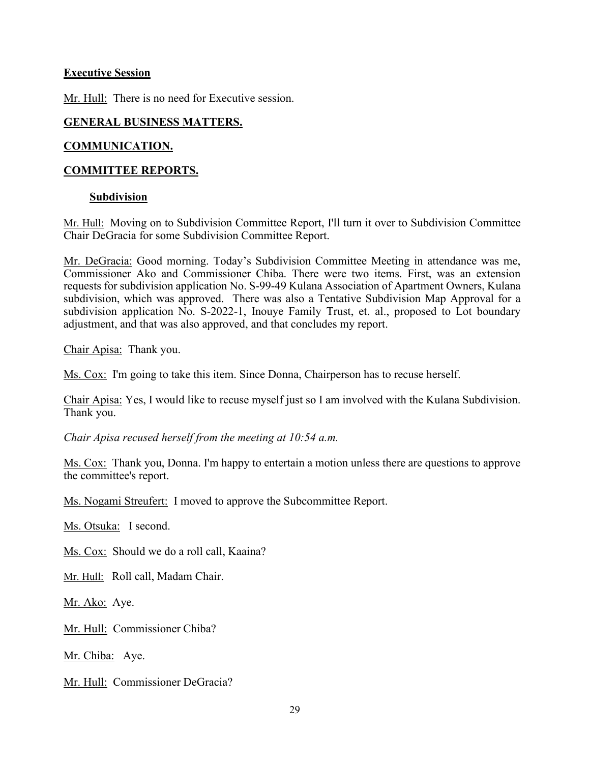# **Executive Session**

Mr. Hull: There is no need for Executive session.

# **GENERAL BUSINESS MATTERS.**

# **COMMUNICATION.**

# **COMMITTEE REPORTS.**

# **Subdivision**

Mr. Hull: Moving on to Subdivision Committee Report, I'll turn it over to Subdivision Committee Chair DeGracia for some Subdivision Committee Report.

Mr. DeGracia: Good morning. Today's Subdivision Committee Meeting in attendance was me, Commissioner Ako and Commissioner Chiba. There were two items. First, was an extension requests for subdivision application No. S-99-49 Kulana Association of Apartment Owners, Kulana subdivision, which was approved. There was also a Tentative Subdivision Map Approval for a subdivision application No. S-2022-1, Inouye Family Trust, et. al., proposed to Lot boundary adjustment, and that was also approved, and that concludes my report.

Chair Apisa: Thank you.

Ms. Cox: I'm going to take this item. Since Donna, Chairperson has to recuse herself.

Chair Apisa: Yes, I would like to recuse myself just so I am involved with the Kulana Subdivision. Thank you.

*Chair Apisa recused herself from the meeting at 10:54 a.m.*

Ms. Cox: Thank you, Donna. I'm happy to entertain a motion unless there are questions to approve the committee's report.

Ms. Nogami Streufert: I moved to approve the Subcommittee Report.

Ms. Otsuka: I second.

Ms. Cox: Should we do a roll call, Kaaina?

Mr. Hull: Roll call, Madam Chair.

Mr. Ako: Aye.

Mr. Hull: Commissioner Chiba?

Mr. Chiba: Aye.

Mr. Hull: Commissioner DeGracia?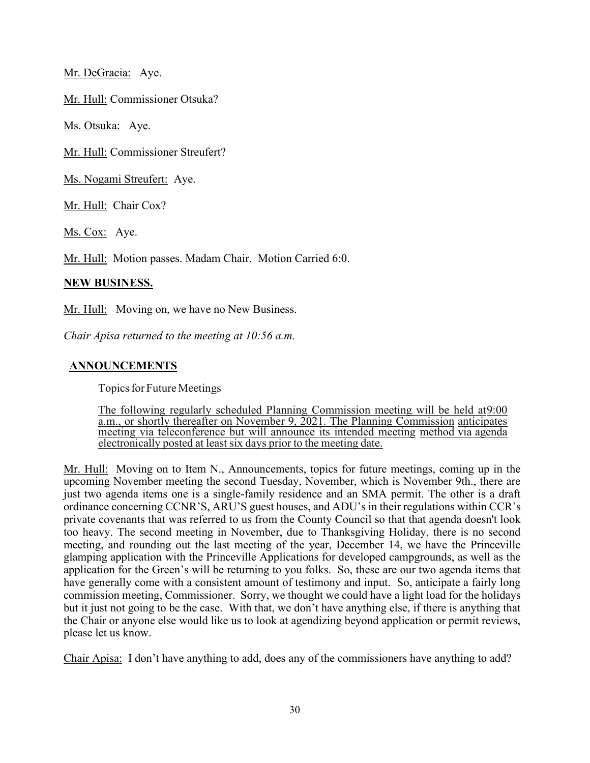Mr. DeGracia: Aye.

Mr. Hull: Commissioner Otsuka?

Ms. Otsuka: Aye.

Mr. Hull: Commissioner Streufert?

Ms. Nogami Streufert: Aye.

Mr. Hull: Chair Cox?

Ms. Cox: Aye.

Mr. Hull: Motion passes. Madam Chair. Motion Carried 6:0.

#### **NEW BUSINESS.**

Mr. Hull: Moving on, we have no New Business.

*Chair Apisa returned to the meeting at 10:56 a.m.*

## **ANNOUNCEMENTS**

Topics for Future Meetings

The following regularly scheduled Planning Commission meeting will be held at9:00 a.m., or shortly thereafter on November 9, 2021. The Planning Commission anticipates meeting via teleconference but will announce its intended meeting method via agenda electronically posted at least six days prior to the meeting date.

Mr. Hull: Moving on to Item N., Announcements, topics for future meetings, coming up in the upcoming November meeting the second Tuesday, November, which is November 9th., there are just two agenda items one is a single-family residence and an SMA permit. The other is a draft ordinance concerning CCNR'S, ARU'S guest houses, and ADU's in their regulations within CCR's private covenants that was referred to us from the County Council so that that agenda doesn't look too heavy. The second meeting in November, due to Thanksgiving Holiday, there is no second meeting, and rounding out the last meeting of the year, December 14, we have the Princeville glamping application with the Princeville Applications for developed campgrounds, as well as the application for the Green's will be returning to you folks. So, these are our two agenda items that have generally come with a consistent amount of testimony and input. So, anticipate a fairly long commission meeting, Commissioner. Sorry, we thought we could have a light load for the holidays but it just not going to be the case. With that, we don't have anything else, if there is anything that the Chair or anyone else would like us to look at agendizing beyond application or permit reviews, please let us know.

Chair Apisa: I don't have anything to add, does any of the commissioners have anything to add?